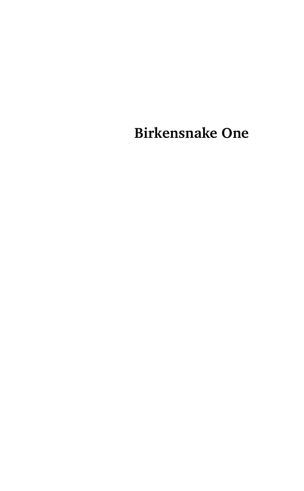**Birkensnake One**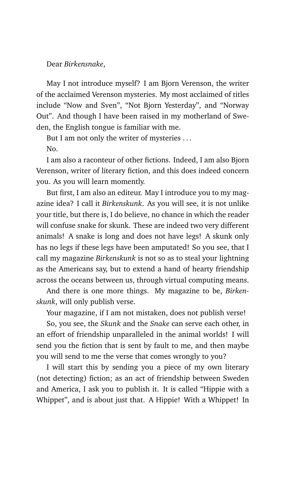#### Dear *Birkensnake*,

May I not introduce myself? I am Bjorn Verenson, the writer of the acclaimed Verenson mysteries. My most acclaimed of titles include "Now and Sven", "Not Bjorn Yesterday", and "Norway Out". And though I have been raised in my motherland of Sweden, the English tongue is familiar with me.

But I am not only the writer of mysteries ...

No.

I am also a raconteur of other fictions. Indeed, I am also Bjorn Verenson, writer of literary fiction, and this does indeed concern you. As you will learn momently.

But first, I am also an editeur. May I introduce you to my magazine idea? I call it *Birkenskunk*. As you will see, it is not unlike your title, but there is, I do believe, no chance in which the reader will confuse snake for skunk. These are indeed two very different animals! A snake is long and does not have legs! A skunk only has no legs if these legs have been amputated! So you see, that I call my magazine *Birkenskunk* is not so as to steal your lightning as the Americans say, but to extend a hand of hearty friendship across the oceans between us, through virtual computing means.

And there is one more things. My magazine to be, *Birkenskunk*, will only publish verse.

Your magazine, if I am not mistaken, does not publish verse!

So, you see, the *Skunk* and the *Snake* can serve each other, in an effort of friendship unparalleled in the animal worlds! I will send you the fiction that is sent by fault to me, and then maybe you will send to me the verse that comes wrongly to you?

I will start this by sending you a piece of my own literary (not detecting) fiction; as an act of friendship between Sweden and America, I ask you to publish it. It is called "Hippie with a Whippet", and is about just that. A Hippie! With a Whippet! In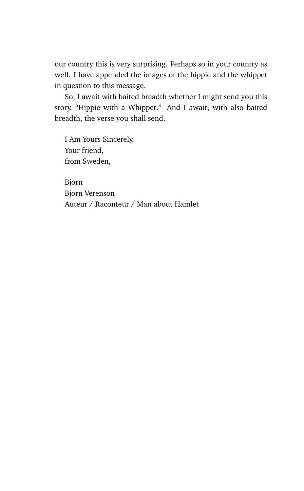our country this is very surprising. Perhaps so in your country as well. I have appended the images of the hippie and the whippet in question to this message.

So, I await with baited breadth whether I might send you this story, "Hippie with a Whippet." And I await, with also baited breadth, the verse you shall send.

I Am Yours Sincerely, Your friend, from Sweden,

Bjorn Bjorn Verenson Auteur / Raconteur / Man about Hamlet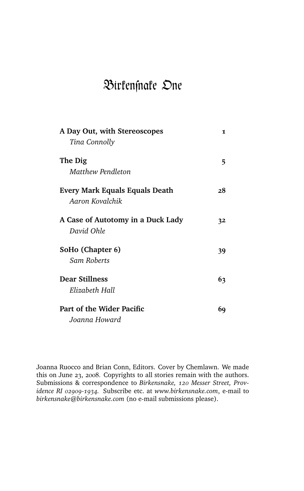# Birfenfnafe One

| A Day Out, with Stereoscopes      | 1  |
|-----------------------------------|----|
| Tina Connolly                     |    |
| The Dig                           | 5  |
| Matthew Pendleton                 |    |
| Every Mark Equals Equals Death    | 28 |
| Aaron Kovalchik                   |    |
| A Case of Autotomy in a Duck Lady | 32 |
| David Ohle                        |    |
| SoHo (Chapter 6)                  | 39 |
| Sam Roberts                       |    |
| <b>Dear Stillness</b>             | 63 |
| Elizabeth Hall                    |    |
| Part of the Wider Pacific         | 69 |
| Joanna Howard                     |    |

Joanna Ruocco and Brian Conn, Editors. Cover by Chemlawn. We made this on June 23, 2008. Copyrights to all stories remain with the authors. Submissions & correspondence to *Birkensnake, 120 Messer Street, Providence RI 02909-1934.* Subscribe etc. at *www.birkensnake.com*, e-mail to *birkensnake@birkensnake.com* (no e-mail submissions please).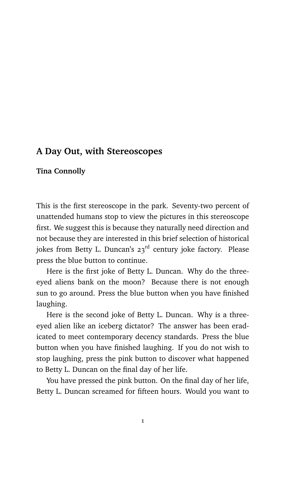## **A Day Out, with Stereoscopes**

#### **Tina Connolly**

This is the first stereoscope in the park. Seventy-two percent of unattended humans stop to view the pictures in this stereoscope first. We suggest this is because they naturally need direction and not because they are interested in this brief selection of historical jokes from Betty L. Duncan's 23<sup>rd</sup> century joke factory. Please press the blue button to continue.

Here is the first joke of Betty L. Duncan. Why do the threeeyed aliens bank on the moon? Because there is not enough sun to go around. Press the blue button when you have finished laughing.

Here is the second joke of Betty L. Duncan. Why is a threeeyed alien like an iceberg dictator? The answer has been eradicated to meet contemporary decency standards. Press the blue button when you have finished laughing. If you do not wish to stop laughing, press the pink button to discover what happened to Betty L. Duncan on the final day of her life.

You have pressed the pink button. On the final day of her life, Betty L. Duncan screamed for fifteen hours. Would you want to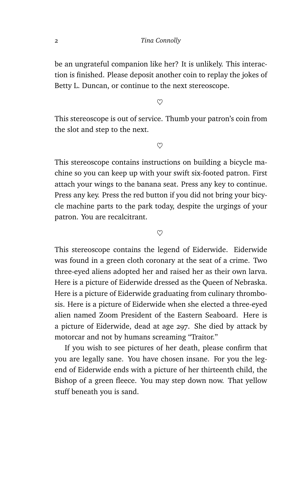be an ungrateful companion like her? It is unlikely. This interaction is finished. Please deposit another coin to replay the jokes of Betty L. Duncan, or continue to the next stereoscope.

 $\infty$ 

This stereoscope is out of service. Thumb your patron's coin from the slot and step to the next.

 $\heartsuit$ 

This stereoscope contains instructions on building a bicycle machine so you can keep up with your swift six-footed patron. First attach your wings to the banana seat. Press any key to continue. Press any key. Press the red button if you did not bring your bicycle machine parts to the park today, despite the urgings of your patron. You are recalcitrant.

 $\infty$ 

This stereoscope contains the legend of Eiderwide. Eiderwide was found in a green cloth coronary at the seat of a crime. Two three-eyed aliens adopted her and raised her as their own larva. Here is a picture of Eiderwide dressed as the Queen of Nebraska. Here is a picture of Eiderwide graduating from culinary thrombosis. Here is a picture of Eiderwide when she elected a three-eyed alien named Zoom President of the Eastern Seaboard. Here is a picture of Eiderwide, dead at age 297. She died by attack by motorcar and not by humans screaming "Traitor."

If you wish to see pictures of her death, please confirm that you are legally sane. You have chosen insane. For you the legend of Eiderwide ends with a picture of her thirteenth child, the Bishop of a green fleece. You may step down now. That yellow stuff beneath you is sand.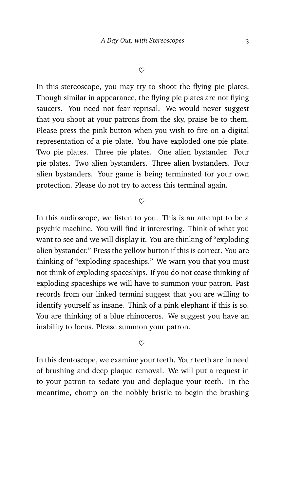In this stereoscope, you may try to shoot the flying pie plates. Though similar in appearance, the flying pie plates are not flying saucers. You need not fear reprisal. We would never suggest that you shoot at your patrons from the sky, praise be to them. Please press the pink button when you wish to fire on a digital representation of a pie plate. You have exploded one pie plate. Two pie plates. Three pie plates. One alien bystander. Four pie plates. Two alien bystanders. Three alien bystanders. Four alien bystanders. Your game is being terminated for your own protection. Please do not try to access this terminal again.

 $\infty$ 

In this audioscope, we listen to you. This is an attempt to be a psychic machine. You will find it interesting. Think of what you want to see and we will display it. You are thinking of "exploding alien bystander." Press the yellow button if this is correct. You are thinking of "exploding spaceships." We warn you that you must not think of exploding spaceships. If you do not cease thinking of exploding spaceships we will have to summon your patron. Past records from our linked termini suggest that you are willing to identify yourself as insane. Think of a pink elephant if this is so. You are thinking of a blue rhinoceros. We suggest you have an inability to focus. Please summon your patron.

 $\heartsuit$ 

In this dentoscope, we examine your teeth. Your teeth are in need of brushing and deep plaque removal. We will put a request in to your patron to sedate you and deplaque your teeth. In the meantime, chomp on the nobbly bristle to begin the brushing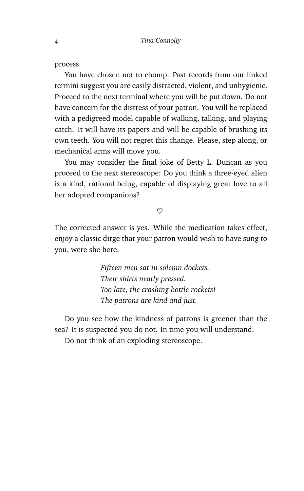process.

You have chosen not to chomp. Past records from our linked termini suggest you are easily distracted, violent, and unhygienic. Proceed to the next terminal where you will be put down. Do not have concern for the distress of your patron. You will be replaced with a pedigreed model capable of walking, talking, and playing catch. It will have its papers and will be capable of brushing its own teeth. You will not regret this change. Please, step along, or mechanical arms will move you.

You may consider the final joke of Betty L. Duncan as you proceed to the next stereoscope: Do you think a three-eyed alien is a kind, rational being, capable of displaying great love to all her adopted companions?

#### $\heartsuit$

The corrected answer is yes. While the medication takes effect, enjoy a classic dirge that your patron would wish to have sung to you, were she here.

> *Fifteen men sat in solemn dockets, Their shirts neatly pressed. Too late, the crashing bottle rockets! The patrons are kind and just.*

Do you see how the kindness of patrons is greener than the sea? It is suspected you do not. In time you will understand. Do not think of an exploding stereoscope.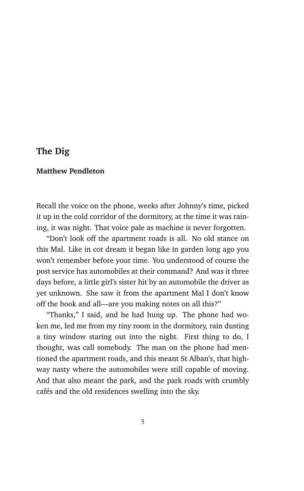## **The Dig**

#### **Matthew Pendleton**

Recall the voice on the phone, weeks after Johnny's time, picked it up in the cold corridor of the dormitory, at the time it was raining, it was night. That voice pale as machine is never forgotten.

"Don't look off the apartment roads is all. No old stance on this Mal. Like in cot dream it began like in garden long ago you won't remember before your time. You understood of course the post service has automobiles at their command? And was it three days before, a little girl's sister hit by an automobile the driver as yet unknown. She saw it from the apartment Mal I don't know off the book and all—are you making notes on all this?"

"Thanks," I said, and he had hung up. The phone had woken me, led me from my tiny room in the dormitory, rain dusting a tiny window staring out into the night. First thing to do, I thought, was call somebody. The man on the phone had mentioned the apartment roads, and this meant St Alban's, that highway nasty where the automobiles were still capable of moving. And that also meant the park, and the park roads with crumbly cafés and the old residences swelling into the sky.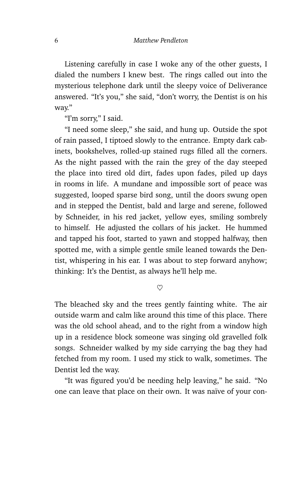Listening carefully in case I woke any of the other guests, I dialed the numbers I knew best. The rings called out into the mysterious telephone dark until the sleepy voice of Deliverance answered. "It's you," she said, "don't worry, the Dentist is on his way."

"I'm sorry," I said.

"I need some sleep," she said, and hung up. Outside the spot of rain passed, I tiptoed slowly to the entrance. Empty dark cabinets, bookshelves, rolled-up stained rugs filled all the corners. As the night passed with the rain the grey of the day steeped the place into tired old dirt, fades upon fades, piled up days in rooms in life. A mundane and impossible sort of peace was suggested, looped sparse bird song, until the doors swung open and in stepped the Dentist, bald and large and serene, followed by Schneider, in his red jacket, yellow eyes, smiling sombrely to himself. He adjusted the collars of his jacket. He hummed and tapped his foot, started to yawn and stopped halfway, then spotted me, with a simple gentle smile leaned towards the Dentist, whispering in his ear. I was about to step forward anyhow; thinking: It's the Dentist, as always he'll help me.

 $\heartsuit$ 

The bleached sky and the trees gently fainting white. The air outside warm and calm like around this time of this place. There was the old school ahead, and to the right from a window high up in a residence block someone was singing old gravelled folk songs. Schneider walked by my side carrying the bag they had fetched from my room. I used my stick to walk, sometimes. The Dentist led the way.

"It was figured you'd be needing help leaving," he said. "No one can leave that place on their own. It was naïve of your con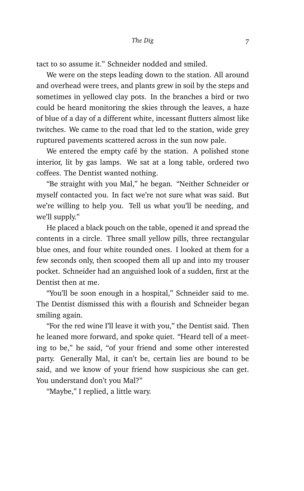tact to so assume it." Schneider nodded and smiled.

We were on the steps leading down to the station. All around and overhead were trees, and plants grew in soil by the steps and sometimes in yellowed clay pots. In the branches a bird or two could be heard monitoring the skies through the leaves, a haze of blue of a day of a different white, incessant flutters almost like twitches. We came to the road that led to the station, wide grey ruptured pavements scattered across in the sun now pale.

We entered the empty café by the station. A polished stone interior, lit by gas lamps. We sat at a long table, ordered two coffees. The Dentist wanted nothing.

"Be straight with you Mal," he began. "Neither Schneider or myself contacted you. In fact we're not sure what was said. But we're willing to help you. Tell us what you'll be needing, and we'll supply."

He placed a black pouch on the table, opened it and spread the contents in a circle. Three small yellow pills, three rectangular blue ones, and four white rounded ones. I looked at them for a few seconds only, then scooped them all up and into my trouser pocket. Schneider had an anguished look of a sudden, first at the Dentist then at me.

"You'll be soon enough in a hospital," Schneider said to me. The Dentist dismissed this with a flourish and Schneider began smiling again.

"For the red wine I'll leave it with you," the Dentist said. Then he leaned more forward, and spoke quiet. "Heard tell of a meeting to be," he said, "of your friend and some other interested party. Generally Mal, it can't be, certain lies are bound to be said, and we know of your friend how suspicious she can get. You understand don't you Mal?"

"Maybe," I replied, a little wary.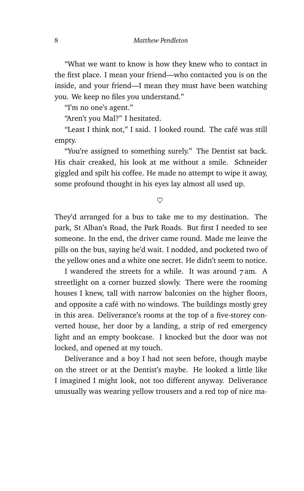"What we want to know is how they knew who to contact in the first place. I mean your friend—who contacted you is on the inside, and your friend—I mean they must have been watching you. We keep no files you understand."

"I'm no one's agent."

"Aren't you Mal?" I hesitated.

"Least I think not," I said. I looked round. The café was still empty.

"You're assigned to something surely." The Dentist sat back. His chair creaked, his look at me without a smile. Schneider giggled and spilt his coffee. He made no attempt to wipe it away, some profound thought in his eyes lay almost all used up.

 $^{\circ}$ 

They'd arranged for a bus to take me to my destination. The park, St Alban's Road, the Park Roads. But first I needed to see someone. In the end, the driver came round. Made me leave the pills on the bus, saying he'd wait. I nodded, and pocketed two of the yellow ones and a white one secret. He didn't seem to notice.

I wandered the streets for a while. It was around 7 am. A streetlight on a corner buzzed slowly. There were the rooming houses I knew, tall with narrow balconies on the higher floors, and opposite a café with no windows. The buildings mostly grey in this area. Deliverance's rooms at the top of a five-storey converted house, her door by a landing, a strip of red emergency light and an empty bookcase. I knocked but the door was not locked, and opened at my touch.

Deliverance and a boy I had not seen before, though maybe on the street or at the Dentist's maybe. He looked a little like I imagined I might look, not too different anyway. Deliverance unusually was wearing yellow trousers and a red top of nice ma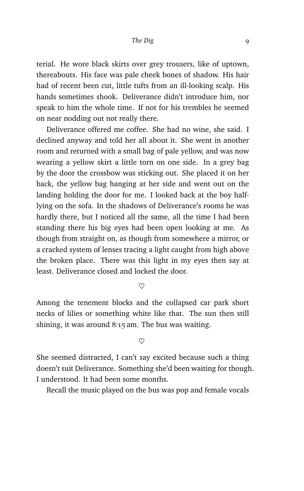terial. He wore black skirts over grey trousers, like of uptown, thereabouts. His face was pale cheek bones of shadow. His hair had of recent been cut, little tufts from an ill-looking scalp. His hands sometimes shook. Deliverance didn't introduce him, nor speak to him the whole time. If not for his trembles he seemed on near nodding out not really there.

Deliverance offered me coffee. She had no wine, she said. I declined anyway and told her all about it. She went in another room and returned with a small bag of pale yellow, and was now wearing a yellow skirt a little torn on one side. In a grey bag by the door the crossbow was sticking out. She placed it on her back, the yellow bag hanging at her side and went out on the landing holding the door for me. I looked back at the boy halflying on the sofa. In the shadows of Deliverance's rooms he was hardly there, but I noticed all the same, all the time I had been standing there his big eyes had been open looking at me. As though from straight on, as though from somewhere a mirror, or a cracked system of lenses tracing a light caught from high above the broken place. There was this light in my eyes then say at least. Deliverance closed and locked the door.

 $\infty$ 

Among the tenement blocks and the collapsed car park short necks of lilies or something white like that. The sun then still shining, it was around 8:15 am. The bus was waiting.

 $\heartsuit$ 

She seemed distracted, I can't say excited because such a thing doesn't suit Deliverance. Something she'd been waiting for though. I understood. It had been some months.

Recall the music played on the bus was pop and female vocals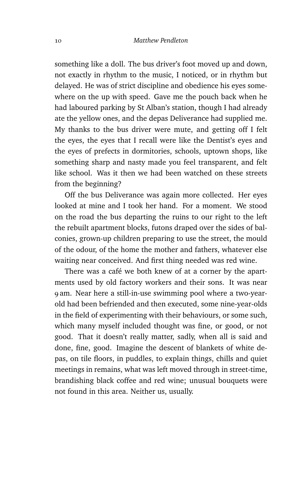something like a doll. The bus driver's foot moved up and down, not exactly in rhythm to the music, I noticed, or in rhythm but delayed. He was of strict discipline and obedience his eyes somewhere on the up with speed. Gave me the pouch back when he had laboured parking by St Alban's station, though I had already ate the yellow ones, and the depas Deliverance had supplied me. My thanks to the bus driver were mute, and getting off I felt the eyes, the eyes that I recall were like the Dentist's eyes and the eyes of prefects in dormitories, schools, uptown shops, like something sharp and nasty made you feel transparent, and felt like school. Was it then we had been watched on these streets from the beginning?

Off the bus Deliverance was again more collected. Her eyes looked at mine and I took her hand. For a moment. We stood on the road the bus departing the ruins to our right to the left the rebuilt apartment blocks, futons draped over the sides of balconies, grown-up children preparing to use the street, the mould of the odour, of the home the mother and fathers, whatever else waiting near conceived. And first thing needed was red wine.

There was a café we both knew of at a corner by the apartments used by old factory workers and their sons. It was near 9 am. Near here a still-in-use swimming pool where a two-yearold had been befriended and then executed, some nine-year-olds in the field of experimenting with their behaviours, or some such, which many myself included thought was fine, or good, or not good. That it doesn't really matter, sadly, when all is said and done, fine, good. Imagine the descent of blankets of white depas, on tile floors, in puddles, to explain things, chills and quiet meetings in remains, what was left moved through in street-time, brandishing black coffee and red wine; unusual bouquets were not found in this area. Neither us, usually.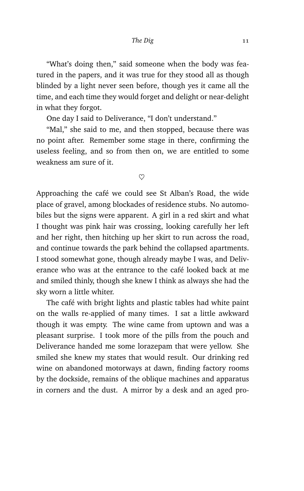"What's doing then," said someone when the body was featured in the papers, and it was true for they stood all as though blinded by a light never seen before, though yes it came all the time, and each time they would forget and delight or near-delight in what they forgot.

One day I said to Deliverance, "I don't understand."

"Mal," she said to me, and then stopped, because there was no point after. Remember some stage in there, confirming the useless feeling, and so from then on, we are entitled to some weakness am sure of it.

 $\heartsuit$ 

Approaching the café we could see St Alban's Road, the wide place of gravel, among blockades of residence stubs. No automobiles but the signs were apparent. A girl in a red skirt and what I thought was pink hair was crossing, looking carefully her left and her right, then hitching up her skirt to run across the road, and continue towards the park behind the collapsed apartments. I stood somewhat gone, though already maybe I was, and Deliverance who was at the entrance to the café looked back at me and smiled thinly, though she knew I think as always she had the sky worn a little whiter.

The café with bright lights and plastic tables had white paint on the walls re-applied of many times. I sat a little awkward though it was empty. The wine came from uptown and was a pleasant surprise. I took more of the pills from the pouch and Deliverance handed me some lorazepam that were yellow. She smiled she knew my states that would result. Our drinking red wine on abandoned motorways at dawn, finding factory rooms by the dockside, remains of the oblique machines and apparatus in corners and the dust. A mirror by a desk and an aged pro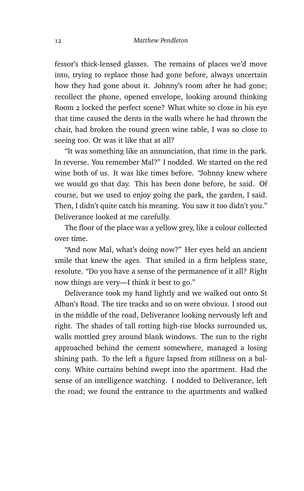fessor's thick-lensed glasses. The remains of places we'd move into, trying to replace those had gone before, always uncertain how they had gone about it. Johnny's room after he had gone; recollect the phone, opened envelope, looking around thinking Room 2 locked the perfect scene? What white so close in his eye that time caused the dents in the walls where he had thrown the chair, had broken the round green wine table, I was so close to seeing too. Or was it like that at all?

"It was something like an annunciation, that time in the park. In reverse. You remember Mal?" I nodded. We started on the red wine both of us. It was like times before. "Johnny knew where we would go that day. This has been done before, he said. Of course, but we used to enjoy going the park, the garden, I said. Then, I didn't quite catch his meaning. You saw it too didn't you." Deliverance looked at me carefully.

The floor of the place was a yellow grey, like a colour collected over time.

"And now Mal, what's doing now?" Her eyes held an ancient smile that knew the ages. That smiled in a firm helpless state, resolute. "Do you have a sense of the permanence of it all? Right now things are very—I think it best to go."

Deliverance took my hand lightly and we walked out onto St Alban's Road. The tire tracks and so on were obvious. I stood out in the middle of the road, Deliverance looking nervously left and right. The shades of tall rotting high-rise blocks surrounded us, walls mottled grey around blank windows. The sun to the right approached behind the cement somewhere, managed a losing shining path. To the left a figure lapsed from stillness on a balcony. White curtains behind swept into the apartment. Had the sense of an intelligence watching. I nodded to Deliverance, left the road; we found the entrance to the apartments and walked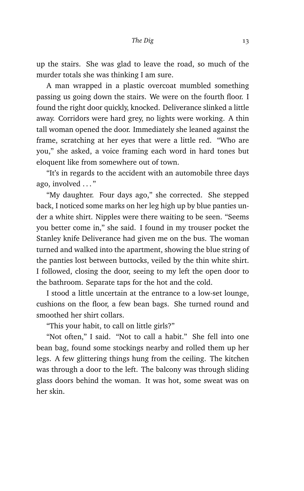up the stairs. She was glad to leave the road, so much of the murder totals she was thinking I am sure.

A man wrapped in a plastic overcoat mumbled something passing us going down the stairs. We were on the fourth floor. I found the right door quickly, knocked. Deliverance slinked a little away. Corridors were hard grey, no lights were working. A thin tall woman opened the door. Immediately she leaned against the frame, scratching at her eyes that were a little red. "Who are you," she asked, a voice framing each word in hard tones but eloquent like from somewhere out of town.

"It's in regards to the accident with an automobile three days ago, involved . . . "

"My daughter. Four days ago," she corrected. She stepped back, I noticed some marks on her leg high up by blue panties under a white shirt. Nipples were there waiting to be seen. "Seems you better come in," she said. I found in my trouser pocket the Stanley knife Deliverance had given me on the bus. The woman turned and walked into the apartment, showing the blue string of the panties lost between buttocks, veiled by the thin white shirt. I followed, closing the door, seeing to my left the open door to the bathroom. Separate taps for the hot and the cold.

I stood a little uncertain at the entrance to a low-set lounge, cushions on the floor, a few bean bags. She turned round and smoothed her shirt collars.

"This your habit, to call on little girls?"

"Not often," I said. "Not to call a habit." She fell into one bean bag, found some stockings nearby and rolled them up her legs. A few glittering things hung from the ceiling. The kitchen was through a door to the left. The balcony was through sliding glass doors behind the woman. It was hot, some sweat was on her skin.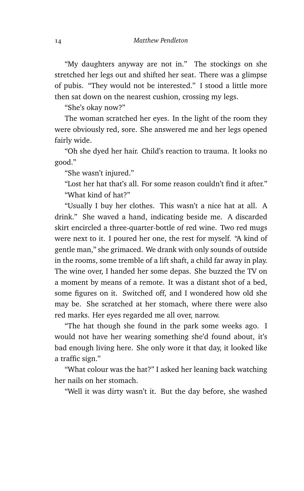"My daughters anyway are not in." The stockings on she stretched her legs out and shifted her seat. There was a glimpse of pubis. "They would not be interested." I stood a little more then sat down on the nearest cushion, crossing my legs.

"She's okay now?"

The woman scratched her eyes. In the light of the room they were obviously red, sore. She answered me and her legs opened fairly wide.

"Oh she dyed her hair. Child's reaction to trauma. It looks no good."

"She wasn't injured."

"Lost her hat that's all. For some reason couldn't find it after." "What kind of hat?"

"Usually I buy her clothes. This wasn't a nice hat at all. A drink." She waved a hand, indicating beside me. A discarded skirt encircled a three-quarter-bottle of red wine. Two red mugs were next to it. I poured her one, the rest for myself. "A kind of gentle man," she grimaced. We drank with only sounds of outside in the rooms, some tremble of a lift shaft, a child far away in play. The wine over, I handed her some depas. She buzzed the TV on a moment by means of a remote. It was a distant shot of a bed, some figures on it. Switched off, and I wondered how old she may be. She scratched at her stomach, where there were also red marks. Her eyes regarded me all over, narrow.

"The hat though she found in the park some weeks ago. I would not have her wearing something she'd found about, it's bad enough living here. She only wore it that day, it looked like a traffic sign."

"What colour was the hat?" I asked her leaning back watching her nails on her stomach.

"Well it was dirty wasn't it. But the day before, she washed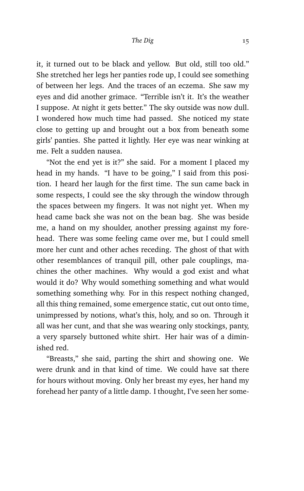it, it turned out to be black and yellow. But old, still too old." She stretched her legs her panties rode up, I could see something of between her legs. And the traces of an eczema. She saw my eyes and did another grimace. "Terrible isn't it. It's the weather I suppose. At night it gets better." The sky outside was now dull. I wondered how much time had passed. She noticed my state close to getting up and brought out a box from beneath some girls' panties. She patted it lightly. Her eye was near winking at me. Felt a sudden nausea.

"Not the end yet is it?" she said. For a moment I placed my head in my hands. "I have to be going," I said from this position. I heard her laugh for the first time. The sun came back in some respects, I could see the sky through the window through the spaces between my fingers. It was not night yet. When my head came back she was not on the bean bag. She was beside me, a hand on my shoulder, another pressing against my forehead. There was some feeling came over me, but I could smell more her cunt and other aches receding. The ghost of that with other resemblances of tranquil pill, other pale couplings, machines the other machines. Why would a god exist and what would it do? Why would something something and what would something something why. For in this respect nothing changed, all this thing remained, some emergence static, cut out onto time, unimpressed by notions, what's this, holy, and so on. Through it all was her cunt, and that she was wearing only stockings, panty, a very sparsely buttoned white shirt. Her hair was of a diminished red.

"Breasts," she said, parting the shirt and showing one. We were drunk and in that kind of time. We could have sat there for hours without moving. Only her breast my eyes, her hand my forehead her panty of a little damp. I thought, I've seen her some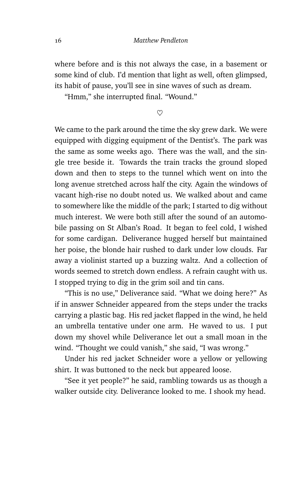where before and is this not always the case, in a basement or some kind of club. I'd mention that light as well, often glimpsed, its habit of pause, you'll see in sine waves of such as dream.

"Hmm," she interrupted final. "Wound."

 $\heartsuit$ 

We came to the park around the time the sky grew dark. We were equipped with digging equipment of the Dentist's. The park was the same as some weeks ago. There was the wall, and the single tree beside it. Towards the train tracks the ground sloped down and then to steps to the tunnel which went on into the long avenue stretched across half the city. Again the windows of vacant high-rise no doubt noted us. We walked about and came to somewhere like the middle of the park; I started to dig without much interest. We were both still after the sound of an automobile passing on St Alban's Road. It began to feel cold, I wished for some cardigan. Deliverance hugged herself but maintained her poise, the blonde hair rushed to dark under low clouds. Far away a violinist started up a buzzing waltz. And a collection of words seemed to stretch down endless. A refrain caught with us. I stopped trying to dig in the grim soil and tin cans.

"This is no use," Deliverance said. "What we doing here?" As if in answer Schneider appeared from the steps under the tracks carrying a plastic bag. His red jacket flapped in the wind, he held an umbrella tentative under one arm. He waved to us. I put down my shovel while Deliverance let out a small moan in the wind. "Thought we could vanish," she said, "I was wrong."

Under his red jacket Schneider wore a yellow or yellowing shirt. It was buttoned to the neck but appeared loose.

"See it yet people?" he said, rambling towards us as though a walker outside city. Deliverance looked to me. I shook my head.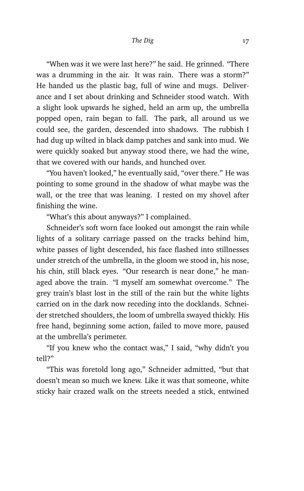"When was it we were last here?" he said. He grinned. "There was a drumming in the air. It was rain. There was a storm?" He handed us the plastic bag, full of wine and mugs. Deliverance and I set about drinking and Schneider stood watch. With a slight look upwards he sighed, held an arm up, the umbrella popped open, rain began to fall. The park, all around us we could see, the garden, descended into shadows. The rubbish I had dug up wilted in black damp patches and sank into mud. We were quickly soaked but anyway stood there, we had the wine, that we covered with our hands, and hunched over.

"You haven't looked," he eventually said, "over there." He was pointing to some ground in the shadow of what maybe was the wall, or the tree that was leaning. I rested on my shovel after finishing the wine.

"What's this about anyways?" I complained.

Schneider's soft worn face looked out amongst the rain while lights of a solitary carriage passed on the tracks behind him, white passes of light descended, his face flashed into stillnesses under stretch of the umbrella, in the gloom we stood in, his nose, his chin, still black eyes. "Our research is near done," he managed above the train. "I myself am somewhat overcome." The grey train's blast lost in the still of the rain but the white lights carried on in the dark now receding into the docklands. Schneider stretched shoulders, the loom of umbrella swayed thickly. His free hand, beginning some action, failed to move more, paused at the umbrella's perimeter.

"If you knew who the contact was," I said, "why didn't you tell?"

"This was foretold long ago," Schneider admitted, "but that doesn't mean so much we knew. Like it was that someone, white sticky hair crazed walk on the streets needed a stick, entwined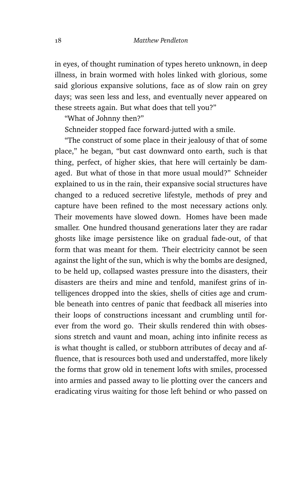in eyes, of thought rumination of types hereto unknown, in deep illness, in brain wormed with holes linked with glorious, some said glorious expansive solutions, face as of slow rain on grey days; was seen less and less, and eventually never appeared on these streets again. But what does that tell you?"

"What of Johnny then?"

Schneider stopped face forward-jutted with a smile.

"The construct of some place in their jealousy of that of some place," he began, "but cast downward onto earth, such is that thing, perfect, of higher skies, that here will certainly be damaged. But what of those in that more usual mould?" Schneider explained to us in the rain, their expansive social structures have changed to a reduced secretive lifestyle, methods of prey and capture have been refined to the most necessary actions only. Their movements have slowed down. Homes have been made smaller. One hundred thousand generations later they are radar ghosts like image persistence like on gradual fade-out, of that form that was meant for them. Their electricity cannot be seen against the light of the sun, which is why the bombs are designed, to be held up, collapsed wastes pressure into the disasters, their disasters are theirs and mine and tenfold, manifest grins of intelligences dropped into the skies, shells of cities age and crumble beneath into centres of panic that feedback all miseries into their loops of constructions incessant and crumbling until forever from the word go. Their skulls rendered thin with obsessions stretch and vaunt and moan, aching into infinite recess as is what thought is called, or stubborn attributes of decay and affluence, that is resources both used and understaffed, more likely the forms that grow old in tenement lofts with smiles, processed into armies and passed away to lie plotting over the cancers and eradicating virus waiting for those left behind or who passed on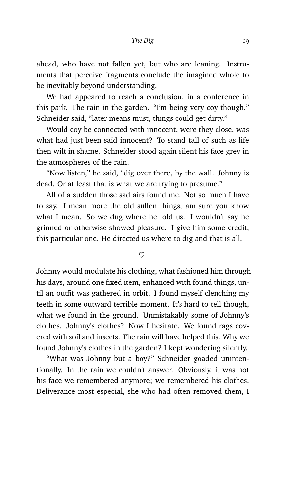ahead, who have not fallen yet, but who are leaning. Instruments that perceive fragments conclude the imagined whole to be inevitably beyond understanding.

We had appeared to reach a conclusion, in a conference in this park. The rain in the garden. "I'm being very coy though," Schneider said, "later means must, things could get dirty."

Would coy be connected with innocent, were they close, was what had just been said innocent? To stand tall of such as life then wilt in shame. Schneider stood again silent his face grey in the atmospheres of the rain.

"Now listen," he said, "dig over there, by the wall. Johnny is dead. Or at least that is what we are trying to presume."

All of a sudden those sad airs found me. Not so much I have to say. I mean more the old sullen things, am sure you know what I mean. So we dug where he told us. I wouldn't say he grinned or otherwise showed pleasure. I give him some credit, this particular one. He directed us where to dig and that is all.

 $\infty$ 

Johnny would modulate his clothing, what fashioned him through his days, around one fixed item, enhanced with found things, until an outfit was gathered in orbit. I found myself clenching my teeth in some outward terrible moment. It's hard to tell though, what we found in the ground. Unmistakably some of Johnny's clothes. Johnny's clothes? Now I hesitate. We found rags covered with soil and insects. The rain will have helped this. Why we found Johnny's clothes in the garden? I kept wondering silently.

"What was Johnny but a boy?" Schneider goaded unintentionally. In the rain we couldn't answer. Obviously, it was not his face we remembered anymore; we remembered his clothes. Deliverance most especial, she who had often removed them, I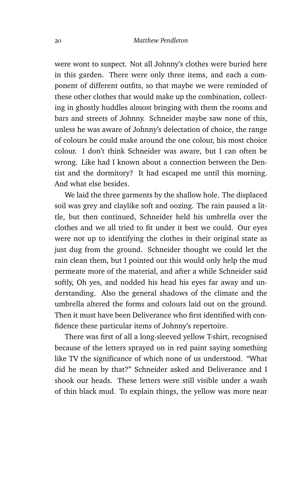were wont to suspect. Not all Johnny's clothes were buried here in this garden. There were only three items, and each a component of different outfits, so that maybe we were reminded of these other clothes that would make up the combination, collecting in ghostly huddles almost bringing with them the rooms and bars and streets of Johnny. Schneider maybe saw none of this, unless he was aware of Johnny's delectation of choice, the range of colours he could make around the one colour, his most choice colour. I don't think Schneider was aware, but I can often be wrong. Like had I known about a connection between the Dentist and the dormitory? It had escaped me until this morning. And what else besides.

We laid the three garments by the shallow hole. The displaced soil was grey and claylike soft and oozing. The rain paused a little, but then continued, Schneider held his umbrella over the clothes and we all tried to fit under it best we could. Our eyes were not up to identifying the clothes in their original state as just dug from the ground. Schneider thought we could let the rain clean them, but I pointed out this would only help the mud permeate more of the material, and after a while Schneider said softly, Oh yes, and nodded his head his eyes far away and understanding. Also the general shadows of the climate and the umbrella altered the forms and colours laid out on the ground. Then it must have been Deliverance who first identified with confidence these particular items of Johnny's repertoire.

There was first of all a long-sleeved yellow T-shirt, recognised because of the letters sprayed on in red paint saying something like TV the significance of which none of us understood. "What did he mean by that?" Schneider asked and Deliverance and I shook our heads. These letters were still visible under a wash of thin black mud. To explain things, the yellow was more near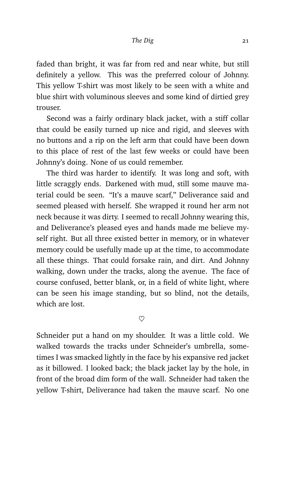faded than bright, it was far from red and near white, but still definitely a yellow. This was the preferred colour of Johnny. This yellow T-shirt was most likely to be seen with a white and blue shirt with voluminous sleeves and some kind of dirtied grey trouser.

Second was a fairly ordinary black jacket, with a stiff collar that could be easily turned up nice and rigid, and sleeves with no buttons and a rip on the left arm that could have been down to this place of rest of the last few weeks or could have been Johnny's doing. None of us could remember.

The third was harder to identify. It was long and soft, with little scraggly ends. Darkened with mud, still some mauve material could be seen. "It's a mauve scarf," Deliverance said and seemed pleased with herself. She wrapped it round her arm not neck because it was dirty. I seemed to recall Johnny wearing this, and Deliverance's pleased eyes and hands made me believe myself right. But all three existed better in memory, or in whatever memory could be usefully made up at the time, to accommodate all these things. That could forsake rain, and dirt. And Johnny walking, down under the tracks, along the avenue. The face of course confused, better blank, or, in a field of white light, where can be seen his image standing, but so blind, not the details, which are lost.

 $\heartsuit$ 

Schneider put a hand on my shoulder. It was a little cold. We walked towards the tracks under Schneider's umbrella, sometimes I was smacked lightly in the face by his expansive red jacket as it billowed. I looked back; the black jacket lay by the hole, in front of the broad dim form of the wall. Schneider had taken the yellow T-shirt, Deliverance had taken the mauve scarf. No one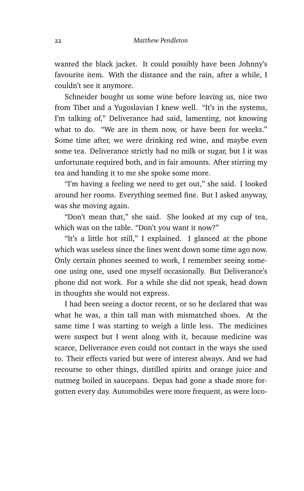wanted the black jacket. It could possibly have been Johnny's favourite item. With the distance and the rain, after a while, I couldn't see it anymore.

Schneider bought us some wine before leaving us, nice two from Tibet and a Yugoslavian I knew well. "It's in the systems, I'm talking of," Deliverance had said, lamenting, not knowing what to do. "We are in them now, or have been for weeks." Some time after, we were drinking red wine, and maybe even some tea. Deliverance strictly had no milk or sugar, but I it was unfortunate required both, and in fair amounts. After stirring my tea and handing it to me she spoke some more.

"I'm having a feeling we need to get out," she said. I looked around her rooms. Everything seemed fine. But I asked anyway, was she moving again.

"Don't mean that," she said. She looked at my cup of tea, which was on the table. "Don't you want it now?"

"It's a little hot still," I explained. I glanced at the phone which was useless since the lines went down some time ago now. Only certain phones seemed to work, I remember seeing someone using one, used one myself occasionally. But Deliverance's phone did not work. For a while she did not speak, head down in thoughts she would not express.

I had been seeing a doctor recent, or so he declared that was what he was, a thin tall man with mismatched shoes. At the same time I was starting to weigh a little less. The medicines were suspect but I went along with it, because medicine was scarce, Deliverance even could not contact in the ways she used to. Their effects varied but were of interest always. And we had recourse to other things, distilled spirits and orange juice and nutmeg boiled in saucepans. Depas had gone a shade more forgotten every day. Automobiles were more frequent, as were loco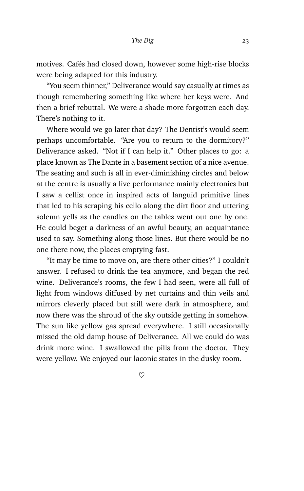motives. Cafés had closed down, however some high-rise blocks were being adapted for this industry.

"You seem thinner," Deliverance would say casually at times as though remembering something like where her keys were. And then a brief rebuttal. We were a shade more forgotten each day. There's nothing to it.

Where would we go later that day? The Dentist's would seem perhaps uncomfortable. "Are you to return to the dormitory?" Deliverance asked. "Not if I can help it." Other places to go: a place known as The Dante in a basement section of a nice avenue. The seating and such is all in ever-diminishing circles and below at the centre is usually a live performance mainly electronics but I saw a cellist once in inspired acts of languid primitive lines that led to his scraping his cello along the dirt floor and uttering solemn yells as the candles on the tables went out one by one. He could beget a darkness of an awful beauty, an acquaintance used to say. Something along those lines. But there would be no one there now, the places emptying fast.

"It may be time to move on, are there other cities?" I couldn't answer. I refused to drink the tea anymore, and began the red wine. Deliverance's rooms, the few I had seen, were all full of light from windows diffused by net curtains and thin veils and mirrors cleverly placed but still were dark in atmosphere, and now there was the shroud of the sky outside getting in somehow. The sun like yellow gas spread everywhere. I still occasionally missed the old damp house of Deliverance. All we could do was drink more wine. I swallowed the pills from the doctor. They were yellow. We enjoyed our laconic states in the dusky room.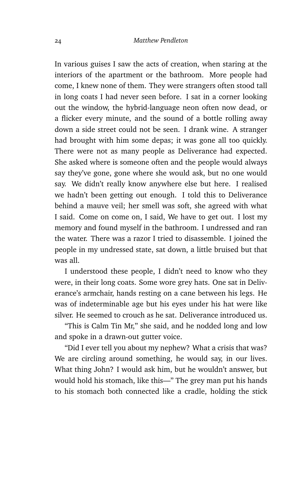In various guises I saw the acts of creation, when staring at the interiors of the apartment or the bathroom. More people had come, I knew none of them. They were strangers often stood tall in long coats I had never seen before. I sat in a corner looking out the window, the hybrid-language neon often now dead, or a flicker every minute, and the sound of a bottle rolling away down a side street could not be seen. I drank wine. A stranger had brought with him some depas; it was gone all too quickly. There were not as many people as Deliverance had expected. She asked where is someone often and the people would always say they've gone, gone where she would ask, but no one would say. We didn't really know anywhere else but here. I realised we hadn't been getting out enough. I told this to Deliverance behind a mauve veil; her smell was soft, she agreed with what I said. Come on come on, I said, We have to get out. I lost my memory and found myself in the bathroom. I undressed and ran the water. There was a razor I tried to disassemble. I joined the people in my undressed state, sat down, a little bruised but that was all.

I understood these people, I didn't need to know who they were, in their long coats. Some wore grey hats. One sat in Deliverance's armchair, hands resting on a cane between his legs. He was of indeterminable age but his eyes under his hat were like silver. He seemed to crouch as he sat. Deliverance introduced us.

"This is Calm Tin Mr," she said, and he nodded long and low and spoke in a drawn-out gutter voice.

"Did I ever tell you about my nephew? What a crisis that was? We are circling around something, he would say, in our lives. What thing John? I would ask him, but he wouldn't answer, but would hold his stomach, like this—" The grey man put his hands to his stomach both connected like a cradle, holding the stick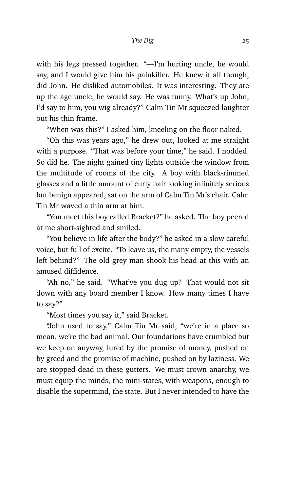with his legs pressed together. "—I'm hurting uncle, he would say, and I would give him his painkiller. He knew it all though, did John. He disliked automobiles. It was interesting. They ate up the age uncle, he would say. He was funny. What's up John, I'd say to him, you wig already?" Calm Tin Mr squeezed laughter out his thin frame.

"When was this?" I asked him, kneeling on the floor naked.

"Oh this was years ago," he drew out, looked at me straight with a purpose. "That was before your time," he said. I nodded. So did he. The night gained tiny lights outside the window from the multitude of rooms of the city. A boy with black-rimmed glasses and a little amount of curly hair looking infinitely serious but benign appeared, sat on the arm of Calm Tin Mr's chair. Calm Tin Mr waved a thin arm at him.

"You meet this boy called Bracket?" he asked. The boy peered at me short-sighted and smiled.

"You believe in life after the body?" he asked in a slow careful voice, but full of excite. "To leave us, the many empty, the vessels left behind?" The old grey man shook his head at this with an amused diffidence.

"Ah no," he said. "What've you dug up? That would not sit down with any board member I know. How many times I have to say?"

"Most times you say it," said Bracket.

"John used to say," Calm Tin Mr said, "we're in a place so mean, we're the bad animal. Our foundations have crumbled but we keep on anyway, lured by the promise of money, pushed on by greed and the promise of machine, pushed on by laziness. We are stopped dead in these gutters. We must crown anarchy, we must equip the minds, the mini-states, with weapons, enough to disable the supermind, the state. But I never intended to have the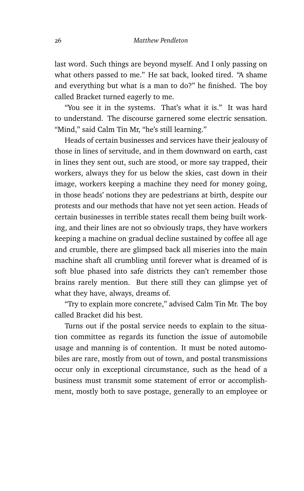last word. Such things are beyond myself. And I only passing on what others passed to me." He sat back, looked tired. "A shame and everything but what is a man to do?" he finished. The boy called Bracket turned eagerly to me.

"You see it in the systems. That's what it is." It was hard to understand. The discourse garnered some electric sensation. "Mind," said Calm Tin Mr, "he's still learning."

Heads of certain businesses and services have their jealousy of those in lines of servitude, and in them downward on earth, cast in lines they sent out, such are stood, or more say trapped, their workers, always they for us below the skies, cast down in their image, workers keeping a machine they need for money going, in those heads' notions they are pedestrians at birth, despite our protests and our methods that have not yet seen action. Heads of certain businesses in terrible states recall them being built working, and their lines are not so obviously traps, they have workers keeping a machine on gradual decline sustained by coffee all age and crumble, there are glimpsed back all miseries into the main machine shaft all crumbling until forever what is dreamed of is soft blue phased into safe districts they can't remember those brains rarely mention. But there still they can glimpse yet of what they have, always, dreams of.

"Try to explain more concrete," advised Calm Tin Mr. The boy called Bracket did his best.

Turns out if the postal service needs to explain to the situation committee as regards its function the issue of automobile usage and manning is of contention. It must be noted automobiles are rare, mostly from out of town, and postal transmissions occur only in exceptional circumstance, such as the head of a business must transmit some statement of error or accomplishment, mostly both to save postage, generally to an employee or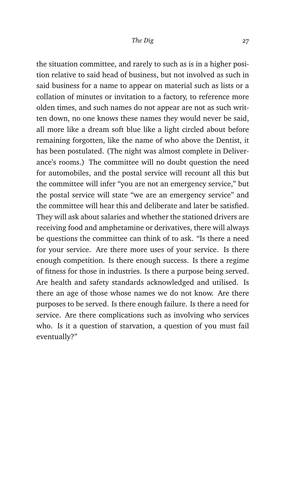the situation committee, and rarely to such as is in a higher position relative to said head of business, but not involved as such in said business for a name to appear on material such as lists or a collation of minutes or invitation to a factory, to reference more olden times, and such names do not appear are not as such written down, no one knows these names they would never be said, all more like a dream soft blue like a light circled about before remaining forgotten, like the name of who above the Dentist, it has been postulated. (The night was almost complete in Deliverance's rooms.) The committee will no doubt question the need for automobiles, and the postal service will recount all this but the committee will infer "you are not an emergency service," but the postal service will state "we are an emergency service" and the committee will hear this and deliberate and later be satisfied. They will ask about salaries and whether the stationed drivers are receiving food and amphetamine or derivatives, there will always be questions the committee can think of to ask. "Is there a need for your service. Are there more uses of your service. Is there enough competition. Is there enough success. Is there a regime of fitness for those in industries. Is there a purpose being served. Are health and safety standards acknowledged and utilised. Is there an age of those whose names we do not know. Are there purposes to be served. Is there enough failure. Is there a need for service. Are there complications such as involving who services who. Is it a question of starvation, a question of you must fail eventually?"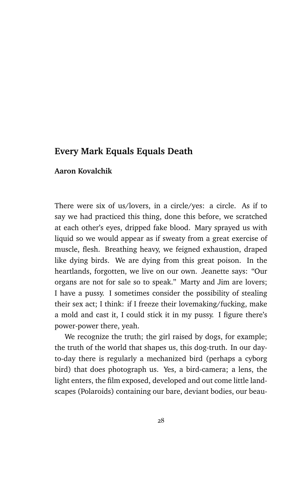## **Every Mark Equals Equals Death**

### **Aaron Kovalchik**

There were six of us/lovers, in a circle/yes: a circle. As if to say we had practiced this thing, done this before, we scratched at each other's eyes, dripped fake blood. Mary sprayed us with liquid so we would appear as if sweaty from a great exercise of muscle, flesh. Breathing heavy, we feigned exhaustion, draped like dying birds. We are dying from this great poison. In the heartlands, forgotten, we live on our own. Jeanette says: "Our organs are not for sale so to speak." Marty and Jim are lovers; I have a pussy. I sometimes consider the possibility of stealing their sex act; I think: if I freeze their lovemaking/fucking, make a mold and cast it, I could stick it in my pussy. I figure there's power-power there, yeah.

We recognize the truth; the girl raised by dogs, for example; the truth of the world that shapes us, this dog-truth. In our dayto-day there is regularly a mechanized bird (perhaps a cyborg bird) that does photograph us. Yes, a bird-camera; a lens, the light enters, the film exposed, developed and out come little landscapes (Polaroids) containing our bare, deviant bodies, our beau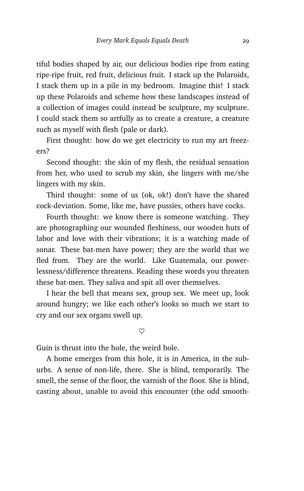tiful bodies shaped by air, our delicious bodies ripe from eating ripe-ripe fruit, red fruit, delicious fruit. I stack up the Polaroids, I stack them up in a pile in my bedroom. Imagine this! I stack up these Polaroids and scheme how these landscapes instead of a collection of images could instead be sculpture, my sculpture. I could stack them so artfully as to create a creature, a creature such as myself with flesh (pale or dark).

First thought: how do we get electricity to run my art freezers?

Second thought: the skin of my flesh, the residual sensation from her, who used to scrub my skin, she lingers with me/she lingers with my skin.

Third thought: some of us (ok, ok!) don't have the shared cock-deviation. Some, like me, have pussies, others have cocks.

Fourth thought: we know there is someone watching. They are photographing our wounded fleshiness, our wooden huts of labor and love with their vibrations; it is a watching made of sonar. These bat-men have power; they are the world that we fled from. They are the world. Like Guatemala, our powerlessness/difference threatens. Reading these words you threaten these bat-men. They saliva and spit all over themselves.

I hear the bell that means sex, group sex. We meet up, look around hungry; we like each other's looks so much we start to cry and our sex organs swell up.

 $\heartsuit$ 

Guin is thrust into the hole, the weird hole.

A home emerges from this hole, it is in America, in the suburbs. A sense of non-life, there. She is blind, temporarily. The smell, the sense of the floor, the varnish of the floor. She is blind, casting about, unable to avoid this encounter (the odd smooth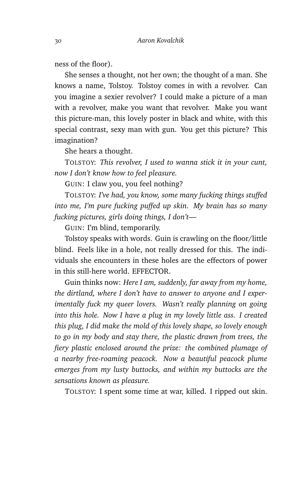ness of the floor).

She senses a thought, not her own; the thought of a man. She knows a name, Tolstoy. Tolstoy comes in with a revolver. Can you imagine a sexier revolver? I could make a picture of a man with a revolver, make you want that revolver. Make you want this picture-man, this lovely poster in black and white, with this special contrast, sexy man with gun. You get this picture? This imagination?

She hears a thought.

TOLSTOY: *This revolver, I used to wanna stick it in your cunt, now I don't know how to feel pleasure.*

GUIN: I claw you, you feel nothing?

TOLSTOY: *I've had, you know, some many fucking things stuffed into me, I'm pure fucking puffed up skin. My brain has so many fucking pictures, girls doing things, I don't—*

GUIN: I'm blind, temporarily.

Tolstoy speaks with words. Guin is crawling on the floor/little blind. Feels like in a hole, not really dressed for this. The individuals she encounters in these holes are the effectors of power in this still-here world. EFFECTOR.

Guin thinks now: *Here I am, suddenly, far away from my home, the dirtland, where I don't have to answer to anyone and I experimentally fuck my queer lovers. Wasn't really planning on going into this hole. Now I have a plug in my lovely little ass. I created this plug, I did make the mold of this lovely shape, so lovely enough to go in my body and stay there, the plastic drawn from trees, the fiery plastic enclosed around the prize: the combined plumage of a nearby free-roaming peacock. Now a beautiful peacock plume emerges from my lusty buttocks, and within my buttocks are the sensations known as pleasure.*

TOLSTOY: I spent some time at war, killed. I ripped out skin.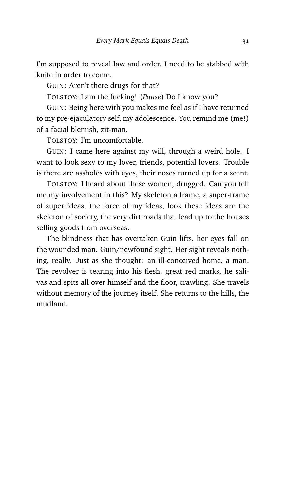I'm supposed to reveal law and order. I need to be stabbed with knife in order to come.

GUIN: Aren't there drugs for that?

TOLSTOY: I am the fucking! (*Pause*) Do I know you?

GUIN: Being here with you makes me feel as if I have returned to my pre-ejaculatory self, my adolescence. You remind me (me!) of a facial blemish, zit-man.

TOLSTOY: I'm uncomfortable.

GUIN: I came here against my will, through a weird hole. I want to look sexy to my lover, friends, potential lovers. Trouble is there are assholes with eyes, their noses turned up for a scent.

TOLSTOY: I heard about these women, drugged. Can you tell me my involvement in this? My skeleton a frame, a super-frame of super ideas, the force of my ideas, look these ideas are the skeleton of society, the very dirt roads that lead up to the houses selling goods from overseas.

The blindness that has overtaken Guin lifts, her eyes fall on the wounded man. Guin/newfound sight. Her sight reveals nothing, really. Just as she thought: an ill-conceived home, a man. The revolver is tearing into his flesh, great red marks, he salivas and spits all over himself and the floor, crawling. She travels without memory of the journey itself. She returns to the hills, the mudland.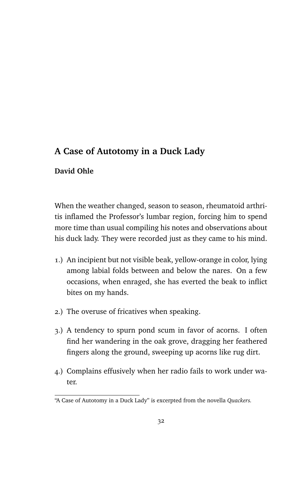# **A Case of Autotomy in a Duck Lady**

### **David Ohle**

When the weather changed, season to season, rheumatoid arthritis inflamed the Professor's lumbar region, forcing him to spend more time than usual compiling his notes and observations about his duck lady. They were recorded just as they came to his mind.

- 1.) An incipient but not visible beak, yellow-orange in color, lying among labial folds between and below the nares. On a few occasions, when enraged, she has everted the beak to inflict bites on my hands.
- 2.) The overuse of fricatives when speaking.
- 3.) A tendency to spurn pond scum in favor of acorns. I often find her wandering in the oak grove, dragging her feathered fingers along the ground, sweeping up acorns like rug dirt.
- 4.) Complains effusively when her radio fails to work under water.

<sup>&</sup>quot;A Case of Autotomy in a Duck Lady" is excerpted from the novella *Quackers.*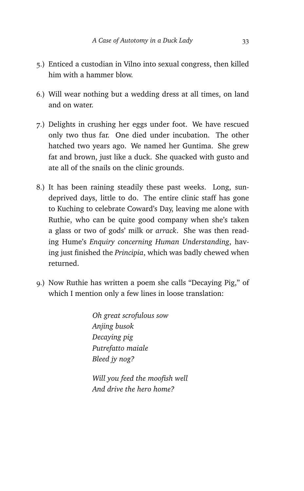- 5.) Enticed a custodian in Vilno into sexual congress, then killed him with a hammer blow.
- 6.) Will wear nothing but a wedding dress at all times, on land and on water.
- 7.) Delights in crushing her eggs under foot. We have rescued only two thus far. One died under incubation. The other hatched two years ago. We named her Guntima. She grew fat and brown, just like a duck. She quacked with gusto and ate all of the snails on the clinic grounds.
- 8.) It has been raining steadily these past weeks. Long, sundeprived days, little to do. The entire clinic staff has gone to Kuching to celebrate Coward's Day, leaving me alone with Ruthie, who can be quite good company when she's taken a glass or two of gods' milk or *arrack*. She was then reading Hume's *Enquiry concerning Human Understanding*, having just finished the *Principia*, which was badly chewed when returned.
- 9.) Now Ruthie has written a poem she calls "Decaying Pig," of which I mention only a few lines in loose translation:

*Oh great scrofulous sow Anjing busok Decaying pig Putrefatto maiale Bleed jy nog?*

*Will you feed the moofish well And drive the hero home?*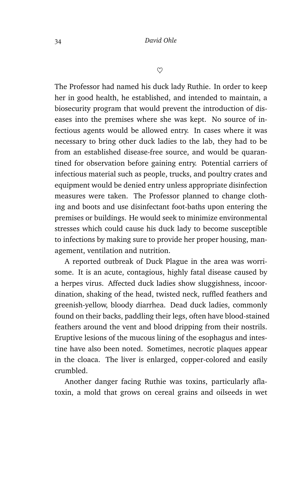$\heartsuit$ 

The Professor had named his duck lady Ruthie. In order to keep her in good health, he established, and intended to maintain, a biosecurity program that would prevent the introduction of diseases into the premises where she was kept. No source of infectious agents would be allowed entry. In cases where it was necessary to bring other duck ladies to the lab, they had to be from an established disease-free source, and would be quarantined for observation before gaining entry. Potential carriers of infectious material such as people, trucks, and poultry crates and equipment would be denied entry unless appropriate disinfection measures were taken. The Professor planned to change clothing and boots and use disinfectant foot-baths upon entering the premises or buildings. He would seek to minimize environmental stresses which could cause his duck lady to become susceptible to infections by making sure to provide her proper housing, management, ventilation and nutrition.

A reported outbreak of Duck Plague in the area was worrisome. It is an acute, contagious, highly fatal disease caused by a herpes virus. Affected duck ladies show sluggishness, incoordination, shaking of the head, twisted neck, ruffled feathers and greenish-yellow, bloody diarrhea. Dead duck ladies, commonly found on their backs, paddling their legs, often have blood-stained feathers around the vent and blood dripping from their nostrils. Eruptive lesions of the mucous lining of the esophagus and intestine have also been noted. Sometimes, necrotic plaques appear in the cloaca. The liver is enlarged, copper-colored and easily crumbled.

Another danger facing Ruthie was toxins, particularly aflatoxin, a mold that grows on cereal grains and oilseeds in wet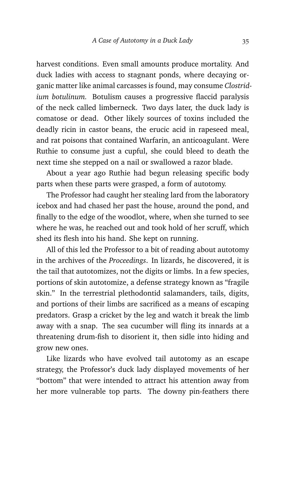harvest conditions. Even small amounts produce mortality. And duck ladies with access to stagnant ponds, where decaying organic matter like animal carcasses is found, may consume *Clostridium botulinum.* Botulism causes a progressive flaccid paralysis of the neck called limberneck. Two days later, the duck lady is comatose or dead. Other likely sources of toxins included the deadly ricin in castor beans, the erucic acid in rapeseed meal, and rat poisons that contained Warfarin, an anticoagulant. Were Ruthie to consume just a cupful, she could bleed to death the next time she stepped on a nail or swallowed a razor blade.

About a year ago Ruthie had begun releasing specific body parts when these parts were grasped, a form of autotomy.

The Professor had caught her stealing lard from the laboratory icebox and had chased her past the house, around the pond, and finally to the edge of the woodlot, where, when she turned to see where he was, he reached out and took hold of her scruff, which shed its flesh into his hand. She kept on running.

All of this led the Professor to a bit of reading about autotomy in the archives of the *Proceedings*. In lizards, he discovered, it is the tail that autotomizes, not the digits or limbs. In a few species, portions of skin autotomize, a defense strategy known as "fragile skin." In the terrestrial plethodontid salamanders, tails, digits, and portions of their limbs are sacrificed as a means of escaping predators. Grasp a cricket by the leg and watch it break the limb away with a snap. The sea cucumber will fling its innards at a threatening drum-fish to disorient it, then sidle into hiding and grow new ones.

Like lizards who have evolved tail autotomy as an escape strategy, the Professor's duck lady displayed movements of her "bottom" that were intended to attract his attention away from her more vulnerable top parts. The downy pin-feathers there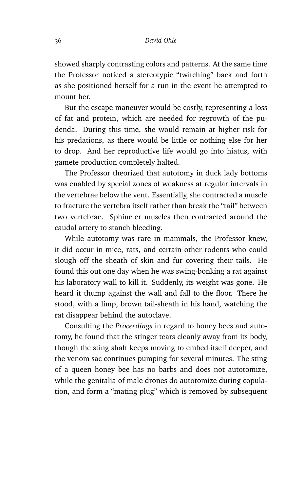showed sharply contrasting colors and patterns. At the same time the Professor noticed a stereotypic "twitching" back and forth as she positioned herself for a run in the event he attempted to mount her.

But the escape maneuver would be costly, representing a loss of fat and protein, which are needed for regrowth of the pudenda. During this time, she would remain at higher risk for his predations, as there would be little or nothing else for her to drop. And her reproductive life would go into hiatus, with gamete production completely halted.

The Professor theorized that autotomy in duck lady bottoms was enabled by special zones of weakness at regular intervals in the vertebrae below the vent. Essentially, she contracted a muscle to fracture the vertebra itself rather than break the "tail" between two vertebrae. Sphincter muscles then contracted around the caudal artery to stanch bleeding.

While autotomy was rare in mammals, the Professor knew, it did occur in mice, rats, and certain other rodents who could slough off the sheath of skin and fur covering their tails. He found this out one day when he was swing-bonking a rat against his laboratory wall to kill it. Suddenly, its weight was gone. He heard it thump against the wall and fall to the floor. There he stood, with a limp, brown tail-sheath in his hand, watching the rat disappear behind the autoclave.

Consulting the *Proceedings* in regard to honey bees and autotomy, he found that the stinger tears cleanly away from its body, though the sting shaft keeps moving to embed itself deeper, and the venom sac continues pumping for several minutes. The sting of a queen honey bee has no barbs and does not autotomize, while the genitalia of male drones do autotomize during copulation, and form a "mating plug" which is removed by subsequent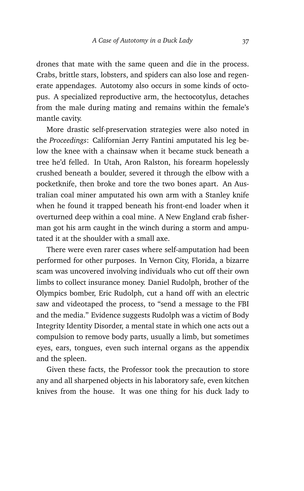drones that mate with the same queen and die in the process. Crabs, brittle stars, lobsters, and spiders can also lose and regenerate appendages. Autotomy also occurs in some kinds of octopus. A specialized reproductive arm, the hectocotylus, detaches from the male during mating and remains within the female's mantle cavity.

More drastic self-preservation strategies were also noted in the *Proceedings*: Californian Jerry Fantini amputated his leg below the knee with a chainsaw when it became stuck beneath a tree he'd felled. In Utah, Aron Ralston, his forearm hopelessly crushed beneath a boulder, severed it through the elbow with a pocketknife, then broke and tore the two bones apart. An Australian coal miner amputated his own arm with a Stanley knife when he found it trapped beneath his front-end loader when it overturned deep within a coal mine. A New England crab fisherman got his arm caught in the winch during a storm and amputated it at the shoulder with a small axe.

There were even rarer cases where self-amputation had been performed for other purposes. In Vernon City, Florida, a bizarre scam was uncovered involving individuals who cut off their own limbs to collect insurance money. Daniel Rudolph, brother of the Olympics bomber, Eric Rudolph, cut a hand off with an electric saw and videotaped the process, to "send a message to the FBI and the media." Evidence suggests Rudolph was a victim of Body Integrity Identity Disorder, a mental state in which one acts out a compulsion to remove body parts, usually a limb, but sometimes eyes, ears, tongues, even such internal organs as the appendix and the spleen.

Given these facts, the Professor took the precaution to store any and all sharpened objects in his laboratory safe, even kitchen knives from the house. It was one thing for his duck lady to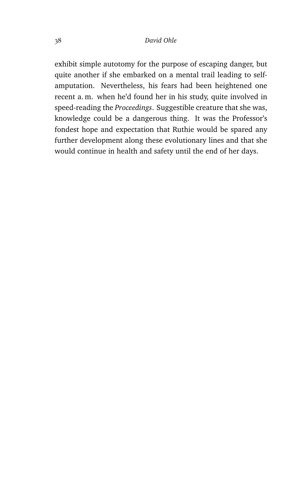exhibit simple autotomy for the purpose of escaping danger, but quite another if she embarked on a mental trail leading to selfamputation. Nevertheless, his fears had been heightened one recent a. m. when he'd found her in his study, quite involved in speed-reading the *Proceedings*. Suggestible creature that she was, knowledge could be a dangerous thing. It was the Professor's fondest hope and expectation that Ruthie would be spared any further development along these evolutionary lines and that she would continue in health and safety until the end of her days.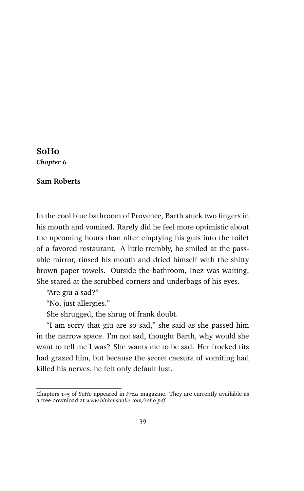#### **SoHo**

*Chapter 6*

#### **Sam Roberts**

In the cool blue bathroom of Provence, Barth stuck two fingers in his mouth and vomited. Rarely did he feel more optimistic about the upcoming hours than after emptying his guts into the toilet of a favored restaurant. A little trembly, he smiled at the passable mirror, rinsed his mouth and dried himself with the shitty brown paper towels. Outside the bathroom, Inez was waiting. She stared at the scrubbed corners and underbags of his eyes.

"Are giu a sad?"

"No, just allergies."

She shrugged, the shrug of frank doubt.

"I am sorry that giu are so sad," she said as she passed him in the narrow space. I'm not sad, thought Barth, why would she want to tell me I was? She wants me to be sad. Her frocked tits had grazed him, but because the secret caesura of vomiting had killed his nerves, he felt only default lust.

Chapters 1–5 of *SoHo* appeared in *Press* magazine. They are currently available as a free download at *www.birkensnake.com/soho.pdf.*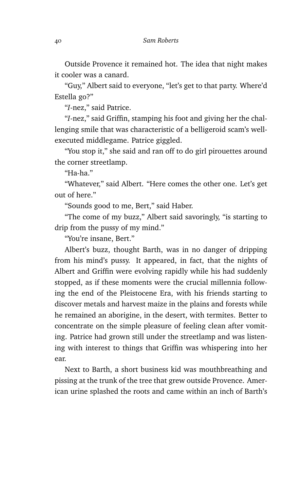Outside Provence it remained hot. The idea that night makes it cooler was a canard.

"Guy," Albert said to everyone, "let's get to that party. Where'd Estella go?"

"*I*-nez," said Patrice.

"*I*-nez," said Griffin, stamping his foot and giving her the challenging smile that was characteristic of a belligeroid scam's wellexecuted middlegame. Patrice giggled.

"You stop it," she said and ran off to do girl pirouettes around the corner streetlamp.

"Ha-ha."

"Whatever," said Albert. "Here comes the other one. Let's get out of here."

"Sounds good to me, Bert," said Haber.

"The come of my buzz," Albert said savoringly, "is starting to drip from the pussy of my mind."

"You're insane, Bert."

Albert's buzz, thought Barth, was in no danger of dripping from his mind's pussy. It appeared, in fact, that the nights of Albert and Griffin were evolving rapidly while his had suddenly stopped, as if these moments were the crucial millennia following the end of the Pleistocene Era, with his friends starting to discover metals and harvest maize in the plains and forests while he remained an aborigine, in the desert, with termites. Better to concentrate on the simple pleasure of feeling clean after vomiting. Patrice had grown still under the streetlamp and was listening with interest to things that Griffin was whispering into her ear.

Next to Barth, a short business kid was mouthbreathing and pissing at the trunk of the tree that grew outside Provence. American urine splashed the roots and came within an inch of Barth's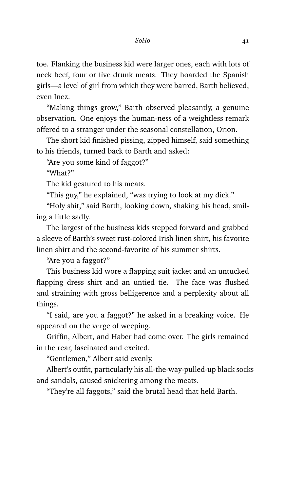toe. Flanking the business kid were larger ones, each with lots of neck beef, four or five drunk meats. They hoarded the Spanish girls—a level of girl from which they were barred, Barth believed, even Inez.

"Making things grow," Barth observed pleasantly, a genuine observation. One enjoys the human-ness of a weightless remark offered to a stranger under the seasonal constellation, Orion.

The short kid finished pissing, zipped himself, said something to his friends, turned back to Barth and asked:

"Are you some kind of faggot?"

"What?"

The kid gestured to his meats.

"This guy," he explained, "was trying to look at my dick."

"Holy shit," said Barth, looking down, shaking his head, smiling a little sadly.

The largest of the business kids stepped forward and grabbed a sleeve of Barth's sweet rust-colored Irish linen shirt, his favorite linen shirt and the second-favorite of his summer shirts.

"Are you a faggot?"

This business kid wore a flapping suit jacket and an untucked flapping dress shirt and an untied tie. The face was flushed and straining with gross belligerence and a perplexity about all things.

"I said, are you a faggot?" he asked in a breaking voice. He appeared on the verge of weeping.

Griffin, Albert, and Haber had come over. The girls remained in the rear, fascinated and excited.

"Gentlemen," Albert said evenly.

Albert's outfit, particularly his all-the-way-pulled-up black socks and sandals, caused snickering among the meats.

"They're all faggots," said the brutal head that held Barth.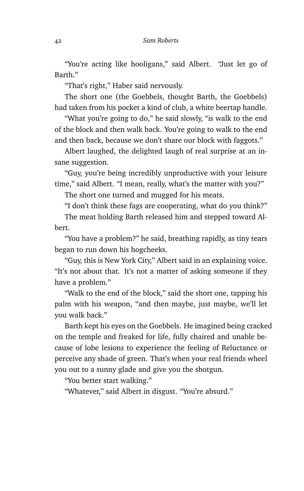"You're acting like hooligans," said Albert. "Just let go of Barth."

"That's right," Haber said nervously.

The short one (the Goebbels, thought Barth, the Goebbels) had taken from his pocket a kind of club, a white beertap handle.

"What you're going to do," he said slowly, "is walk to the end of the block and then walk back. You're going to walk to the end and then back, because we don't share our block with faggots."

Albert laughed, the delighted laugh of real surprise at an insane suggestion.

"Guy, you're being incredibly unproductive with your leisure time," said Albert. "I mean, really, what's the matter with you?"

The short one turned and mugged for his meats.

"I don't think these fags are cooperating, what do you think?" The meat holding Barth released him and stepped toward Albert.

"You have a problem?" he said, breathing rapidly, as tiny tears began to run down his hogcheeks.

"Guy, this is New York City," Albert said in an explaining voice. "It's not about that. It's not a matter of asking someone if they have a problem."

"Walk to the end of the block," said the short one, tapping his palm with his weapon, "and then maybe, just maybe, we'll let you walk back."

Barth kept his eyes on the Goebbels. He imagined being cracked on the temple and freaked for life, fully chaired and unable because of lobe lesions to experience the feeling of Reluctance or perceive any shade of green. That's when your real friends wheel you out to a sunny glade and give you the shotgun.

"You better start walking."

"Whatever," said Albert in disgust. "You're absurd."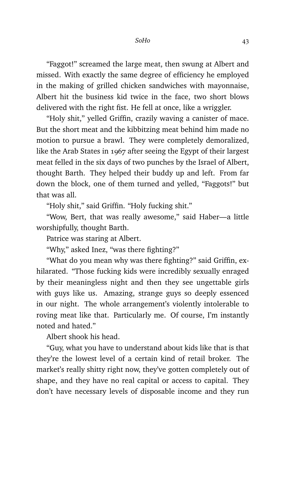"Faggot!" screamed the large meat, then swung at Albert and missed. With exactly the same degree of efficiency he employed in the making of grilled chicken sandwiches with mayonnaise, Albert hit the business kid twice in the face, two short blows delivered with the right fist. He fell at once, like a wriggler.

"Holy shit," yelled Griffin, crazily waving a canister of mace. But the short meat and the kibbitzing meat behind him made no motion to pursue a brawl. They were completely demoralized, like the Arab States in 1967 after seeing the Egypt of their largest meat felled in the six days of two punches by the Israel of Albert, thought Barth. They helped their buddy up and left. From far down the block, one of them turned and yelled, "Faggots!" but that was all.

"Holy shit," said Griffin. "Holy fucking shit."

"Wow, Bert, that was really awesome," said Haber—a little worshipfully, thought Barth.

Patrice was staring at Albert.

"Why," asked Inez, "was there fighting?"

"What do you mean why was there fighting?" said Griffin, exhilarated. "Those fucking kids were incredibly sexually enraged by their meaningless night and then they see ungettable girls with guys like us. Amazing, strange guys so deeply essenced in our night. The whole arrangement's violently intolerable to roving meat like that. Particularly me. Of course, I'm instantly noted and hated."

Albert shook his head.

"Guy, what you have to understand about kids like that is that they're the lowest level of a certain kind of retail broker. The market's really shitty right now, they've gotten completely out of shape, and they have no real capital or access to capital. They don't have necessary levels of disposable income and they run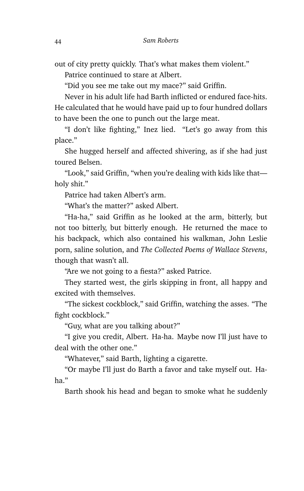out of city pretty quickly. That's what makes them violent."

Patrice continued to stare at Albert.

"Did you see me take out my mace?" said Griffin.

Never in his adult life had Barth inflicted or endured face-hits. He calculated that he would have paid up to four hundred dollars to have been the one to punch out the large meat.

"I don't like fighting," Inez lied. "Let's go away from this place."

She hugged herself and affected shivering, as if she had just toured Belsen.

"Look," said Griffin, "when you're dealing with kids like that holy shit."

Patrice had taken Albert's arm.

"What's the matter?" asked Albert.

"Ha-ha," said Griffin as he looked at the arm, bitterly, but not too bitterly, but bitterly enough. He returned the mace to his backpack, which also contained his walkman, John Leslie porn, saline solution, and *The Collected Poems of Wallace Stevens*, though that wasn't all.

"Are we not going to a fiesta?" asked Patrice.

They started west, the girls skipping in front, all happy and excited with themselves.

"The sickest cockblock," said Griffin, watching the asses. "The fight cockblock."

"Guy, what are you talking about?"

"I give you credit, Albert. Ha-ha. Maybe now I'll just have to deal with the other one."

"Whatever," said Barth, lighting a cigarette.

"Or maybe I'll just do Barth a favor and take myself out. Haha."

Barth shook his head and began to smoke what he suddenly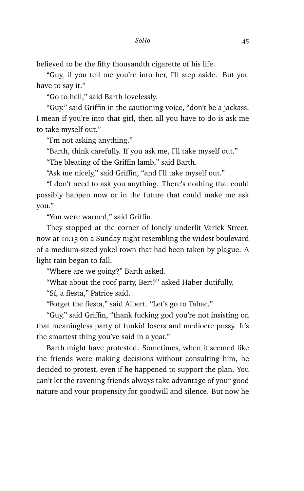believed to be the fifty thousandth cigarette of his life.

"Guy, if you tell me you're into her, I'll step aside. But you have to say it."

"Go to hell," said Barth lovelessly.

"Guy," said Griffin in the cautioning voice, "don't be a jackass. I mean if you're into that girl, then all you have to do is ask me to take myself out."

"I'm not asking anything."

"Barth, think carefully. If you ask me, I'll take myself out."

"The bleating of the Griffin lamb," said Barth.

"Ask me nicely," said Griffin, "and I'll take myself out."

"I don't need to ask you anything. There's nothing that could possibly happen now or in the future that could make me ask you."

"You were warned," said Griffin.

They stopped at the corner of lonely underlit Varick Street, now at 10:15 on a Sunday night resembling the widest boulevard of a medium-sized yokel town that had been taken by plague. A light rain began to fall.

"Where are we going?" Barth asked.

"What about the roof party, Bert?" asked Haber dutifully. "Sí, a fiesta," Patrice said.

"Forget the fiesta," said Albert. "Let's go to Tabac."

"Guy," said Griffin, "thank fucking god you're not insisting on that meaningless party of funkid losers and mediocre pussy. It's the smartest thing you've said in a year."

Barth might have protested. Sometimes, when it seemed like the friends were making decisions without consulting him, he decided to protest, even if he happened to support the plan. You can't let the ravening friends always take advantage of your good nature and your propensity for goodwill and silence. But now he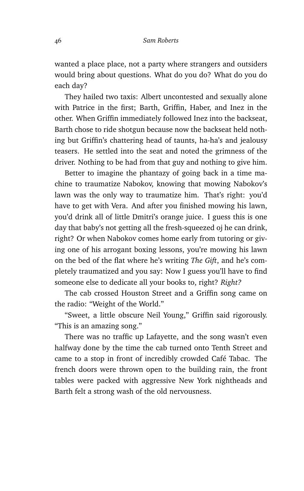wanted a place place, not a party where strangers and outsiders would bring about questions. What do you do? What do you do each day?

They hailed two taxis: Albert uncontested and sexually alone with Patrice in the first; Barth, Griffin, Haber, and Inez in the other. When Griffin immediately followed Inez into the backseat, Barth chose to ride shotgun because now the backseat held nothing but Griffin's chattering head of taunts, ha-ha's and jealousy teasers. He settled into the seat and noted the grimness of the driver. Nothing to be had from that guy and nothing to give him.

Better to imagine the phantazy of going back in a time machine to traumatize Nabokov, knowing that mowing Nabokov's lawn was the only way to traumatize him. That's right: you'd have to get with Vera. And after you finished mowing his lawn, you'd drink all of little Dmitri's orange juice. I guess this is one day that baby's not getting all the fresh-squeezed oj he can drink, right? Or when Nabokov comes home early from tutoring or giving one of his arrogant boxing lessons, you're mowing his lawn on the bed of the flat where he's writing *The Gift*, and he's completely traumatized and you say: Now I guess you'll have to find someone else to dedicate all your books to, right? *Right?*

The cab crossed Houston Street and a Griffin song came on the radio: "Weight of the World."

"Sweet, a little obscure Neil Young," Griffin said rigorously. "This is an amazing song."

There was no traffic up Lafayette, and the song wasn't even halfway done by the time the cab turned onto Tenth Street and came to a stop in front of incredibly crowded Café Tabac. The french doors were thrown open to the building rain, the front tables were packed with aggressive New York nightheads and Barth felt a strong wash of the old nervousness.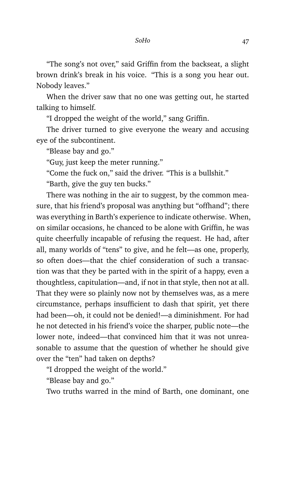"The song's not over," said Griffin from the backseat, a slight brown drink's break in his voice. "This is a song you hear out. Nobody leaves."

When the driver saw that no one was getting out, he started talking to himself.

"I dropped the weight of the world," sang Griffin.

The driver turned to give everyone the weary and accusing eye of the subcontinent.

"Blease bay and go."

"Guy, just keep the meter running."

"Come the fuck on," said the driver. "This is a bullshit."

"Barth, give the guy ten bucks."

There was nothing in the air to suggest, by the common measure, that his friend's proposal was anything but "offhand"; there was everything in Barth's experience to indicate otherwise. When, on similar occasions, he chanced to be alone with Griffin, he was quite cheerfully incapable of refusing the request. He had, after all, many worlds of "tens" to give, and he felt—as one, properly, so often does—that the chief consideration of such a transaction was that they be parted with in the spirit of a happy, even a thoughtless, capitulation—and, if not in that style, then not at all. That they were so plainly now not by themselves was, as a mere circumstance, perhaps insufficient to dash that spirit, yet there had been—oh, it could not be denied!—a diminishment. For had he not detected in his friend's voice the sharper, public note—the lower note, indeed—that convinced him that it was not unreasonable to assume that the question of whether he should give over the "ten" had taken on depths?

"I dropped the weight of the world."

"Blease bay and go."

Two truths warred in the mind of Barth, one dominant, one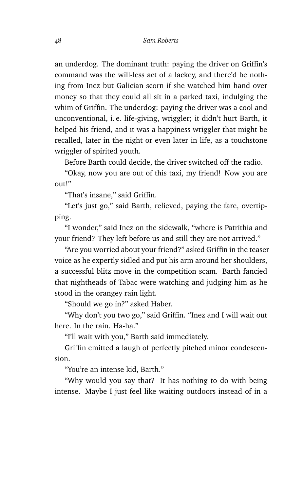an underdog. The dominant truth: paying the driver on Griffin's command was the will-less act of a lackey, and there'd be nothing from Inez but Galician scorn if she watched him hand over money so that they could all sit in a parked taxi, indulging the whim of Griffin. The underdog: paying the driver was a cool and unconventional, i. e. life-giving, wriggler; it didn't hurt Barth, it helped his friend, and it was a happiness wriggler that might be recalled, later in the night or even later in life, as a touchstone wriggler of spirited youth.

Before Barth could decide, the driver switched off the radio.

"Okay, now you are out of this taxi, my friend! Now you are  $0.01t$ 

"That's insane," said Griffin.

"Let's just go," said Barth, relieved, paying the fare, overtipping.

"I wonder," said Inez on the sidewalk, "where is Patrithia and your friend? They left before us and still they are not arrived."

"Are you worried about your friend?" asked Griffin in the teaser voice as he expertly sidled and put his arm around her shoulders, a successful blitz move in the competition scam. Barth fancied that nightheads of Tabac were watching and judging him as he stood in the orangey rain light.

"Should we go in?" asked Haber.

"Why don't you two go," said Griffin. "Inez and I will wait out here. In the rain. Ha-ha."

"I'll wait with you," Barth said immediately.

Griffin emitted a laugh of perfectly pitched minor condescension.

"You're an intense kid, Barth."

"Why would you say that? It has nothing to do with being intense. Maybe I just feel like waiting outdoors instead of in a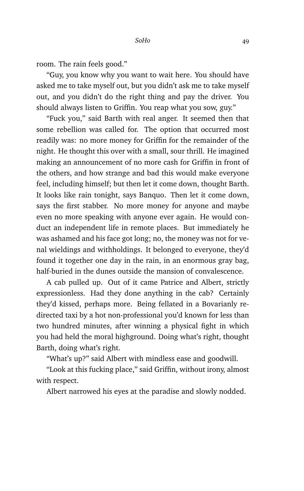room. The rain feels good."

"Guy, you know why you want to wait here. You should have asked me to take myself out, but you didn't ask me to take myself out, and you didn't do the right thing and pay the driver. You should always listen to Griffin. You reap what you sow, guy."

"Fuck you," said Barth with real anger. It seemed then that some rebellion was called for. The option that occurred most readily was: no more money for Griffin for the remainder of the night. He thought this over with a small, sour thrill. He imagined making an announcement of no more cash for Griffin in front of the others, and how strange and bad this would make everyone feel, including himself; but then let it come down, thought Barth. It looks like rain tonight, says Banquo. Then let it come down, says the first stabber. No more money for anyone and maybe even no more speaking with anyone ever again. He would conduct an independent life in remote places. But immediately he was ashamed and his face got long; no, the money was not for venal wieldings and withholdings. It belonged to everyone, they'd found it together one day in the rain, in an enormous gray bag, half-buried in the dunes outside the mansion of convalescence.

A cab pulled up. Out of it came Patrice and Albert, strictly expressionless. Had they done anything in the cab? Certainly they'd kissed, perhaps more. Being fellated in a Bovarianly redirected taxi by a hot non-professional you'd known for less than two hundred minutes, after winning a physical fight in which you had held the moral highground. Doing what's right, thought Barth, doing what's right.

"What's up?" said Albert with mindless ease and goodwill.

"Look at this fucking place," said Griffin, without irony, almost with respect.

Albert narrowed his eyes at the paradise and slowly nodded.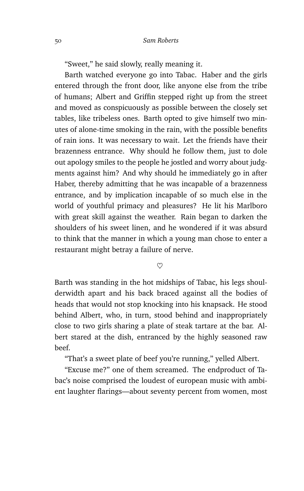"Sweet," he said slowly, really meaning it.

Barth watched everyone go into Tabac. Haber and the girls entered through the front door, like anyone else from the tribe of humans; Albert and Griffin stepped right up from the street and moved as conspicuously as possible between the closely set tables, like tribeless ones. Barth opted to give himself two minutes of alone-time smoking in the rain, with the possible benefits of rain ions. It was necessary to wait. Let the friends have their brazenness entrance. Why should he follow them, just to dole out apology smiles to the people he jostled and worry about judgments against him? And why should he immediately go in after Haber, thereby admitting that he was incapable of a brazenness entrance, and by implication incapable of so much else in the world of youthful primacy and pleasures? He lit his Marlboro with great skill against the weather. Rain began to darken the shoulders of his sweet linen, and he wondered if it was absurd to think that the manner in which a young man chose to enter a restaurant might betray a failure of nerve.

 $\heartsuit$ 

Barth was standing in the hot midships of Tabac, his legs shoulderwidth apart and his back braced against all the bodies of heads that would not stop knocking into his knapsack. He stood behind Albert, who, in turn, stood behind and inappropriately close to two girls sharing a plate of steak tartare at the bar. Albert stared at the dish, entranced by the highly seasoned raw beef.

"That's a sweet plate of beef you're running," yelled Albert.

"Excuse me?" one of them screamed. The endproduct of Tabac's noise comprised the loudest of european music with ambient laughter flarings—about seventy percent from women, most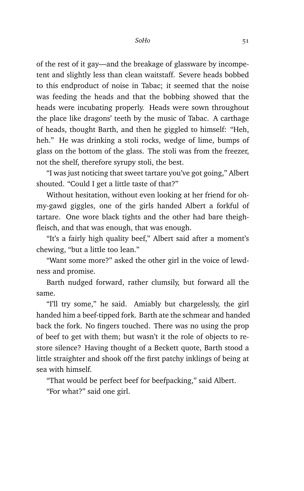of the rest of it gay—and the breakage of glassware by incompetent and slightly less than clean waitstaff. Severe heads bobbed to this endproduct of noise in Tabac; it seemed that the noise was feeding the heads and that the bobbing showed that the heads were incubating properly. Heads were sown throughout the place like dragons' teeth by the music of Tabac. A carthage of heads, thought Barth, and then he giggled to himself: "Heh, heh." He was drinking a stoli rocks, wedge of lime, bumps of glass on the bottom of the glass. The stoli was from the freezer, not the shelf, therefore syrupy stoli, the best.

"I was just noticing that sweet tartare you've got going," Albert shouted. "Could I get a little taste of that?"

Without hesitation, without even looking at her friend for ohmy-gawd giggles, one of the girls handed Albert a forkful of tartare. One wore black tights and the other had bare theighfleisch, and that was enough, that was enough.

"It's a fairly high quality beef," Albert said after a moment's chewing, "but a little too lean."

"Want some more?" asked the other girl in the voice of lewdness and promise.

Barth nudged forward, rather clumsily, but forward all the same.

"I'll try some," he said. Amiably but chargelessly, the girl handed him a beef-tipped fork. Barth ate the schmear and handed back the fork. No fingers touched. There was no using the prop of beef to get with them; but wasn't it the role of objects to restore silence? Having thought of a Beckett quote, Barth stood a little straighter and shook off the first patchy inklings of being at sea with himself.

"That would be perfect beef for beefpacking," said Albert.

"For what?" said one girl.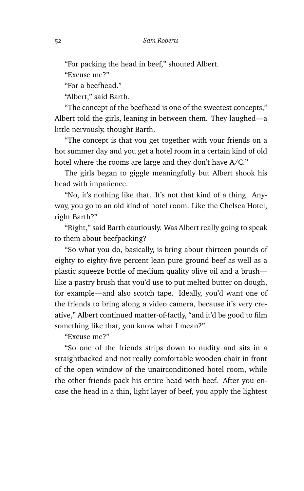"For packing the head in beef," shouted Albert.

"Excuse me?"

"For a beefhead."

"Albert," said Barth.

"The concept of the beefhead is one of the sweetest concepts," Albert told the girls, leaning in between them. They laughed—a little nervously, thought Barth.

"The concept is that you get together with your friends on a hot summer day and you get a hotel room in a certain kind of old hotel where the rooms are large and they don't have A/C."

The girls began to giggle meaningfully but Albert shook his head with impatience.

"No, it's nothing like that. It's not that kind of a thing. Anyway, you go to an old kind of hotel room. Like the Chelsea Hotel, right Barth?"

"Right," said Barth cautiously. Was Albert really going to speak to them about beefpacking?

"So what you do, basically, is bring about thirteen pounds of eighty to eighty-five percent lean pure ground beef as well as a plastic squeeze bottle of medium quality olive oil and a brush like a pastry brush that you'd use to put melted butter on dough, for example—and also scotch tape. Ideally, you'd want one of the friends to bring along a video camera, because it's very creative," Albert continued matter-of-factly, "and it'd be good to film something like that, you know what I mean?"

"Excuse me?"

"So one of the friends strips down to nudity and sits in a straightbacked and not really comfortable wooden chair in front of the open window of the unairconditioned hotel room, while the other friends pack his entire head with beef. After you encase the head in a thin, light layer of beef, you apply the lightest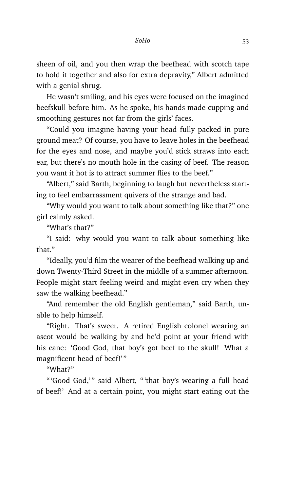sheen of oil, and you then wrap the beefhead with scotch tape to hold it together and also for extra depravity," Albert admitted with a genial shrug.

He wasn't smiling, and his eyes were focused on the imagined beefskull before him. As he spoke, his hands made cupping and smoothing gestures not far from the girls' faces.

"Could you imagine having your head fully packed in pure ground meat? Of course, you have to leave holes in the beefhead for the eyes and nose, and maybe you'd stick straws into each ear, but there's no mouth hole in the casing of beef. The reason you want it hot is to attract summer flies to the beef."

"Albert," said Barth, beginning to laugh but nevertheless starting to feel embarrassment quivers of the strange and bad.

"Why would you want to talk about something like that?" one girl calmly asked.

"What's that?"

"I said: why would you want to talk about something like that."

"Ideally, you'd film the wearer of the beefhead walking up and down Twenty-Third Street in the middle of a summer afternoon. People might start feeling weird and might even cry when they saw the walking beefhead."

"And remember the old English gentleman," said Barth, unable to help himself.

"Right. That's sweet. A retired English colonel wearing an ascot would be walking by and he'd point at your friend with his cane: 'Good God, that boy's got beef to the skull! What a magnificent head of beef!'"

"What?"

"'Good God,'" said Albert, "'that boy's wearing a full head of beef!' And at a certain point, you might start eating out the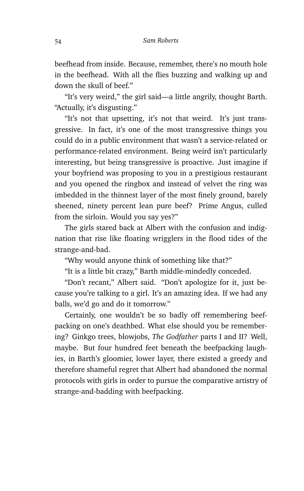beefhead from inside. Because, remember, there's no mouth hole in the beefhead. With all the flies buzzing and walking up and down the skull of beef."

"It's very weird," the girl said—a little angrily, thought Barth. "Actually, it's disgusting."

"It's not that upsetting, it's not that weird. It's just transgressive. In fact, it's one of the most transgressive things you could do in a public environment that wasn't a service-related or performance-related environment. Being weird isn't particularly interesting, but being transgressive is proactive. Just imagine if your boyfriend was proposing to you in a prestigious restaurant and you opened the ringbox and instead of velvet the ring was imbedded in the thinnest layer of the most finely ground, barely sheened, ninety percent lean pure beef? Prime Angus, culled from the sirloin. Would you say yes?"

The girls stared back at Albert with the confusion and indignation that rise like floating wrigglers in the flood tides of the strange-and-bad.

"Why would anyone think of something like that?"

"It is a little bit crazy," Barth middle-mindedly conceded.

"Don't recant," Albert said. "Don't apologize for it, just because you're talking to a girl. It's an amazing idea. If we had any balls, we'd go and do it tomorrow."

Certainly, one wouldn't be so badly off remembering beefpacking on one's deathbed. What else should you be remembering? Ginkgo trees, blowjobs, *The Godfather* parts I and II? Well, maybe. But four hundred feet beneath the beefpacking laughies, in Barth's gloomier, lower layer, there existed a greedy and therefore shameful regret that Albert had abandoned the normal protocols with girls in order to pursue the comparative artistry of strange-and-badding with beefpacking.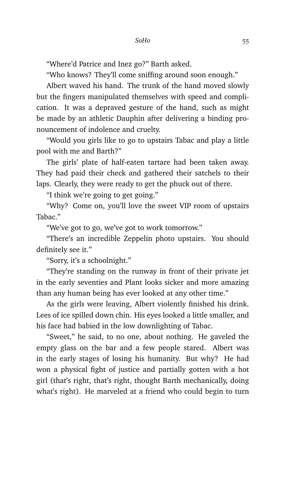"Where'd Patrice and Inez go?" Barth asked.

"Who knows? They'll come sniffing around soon enough."

Albert waved his hand. The trunk of the hand moved slowly but the fingers manipulated themselves with speed and complication. It was a depraved gesture of the hand, such as might be made by an athletic Dauphin after delivering a binding pronouncement of indolence and cruelty.

"Would you girls like to go to upstairs Tabac and play a little pool with me and Barth?"

The girls' plate of half-eaten tartare had been taken away. They had paid their check and gathered their satchels to their laps. Clearly, they were ready to get the phuck out of there.

"I think we're going to get going."

"Why? Come on, you'll love the sweet VIP room of upstairs Tabac<sup>"</sup>

"We've got to go, we've got to work tomorrow."

"There's an incredible Zeppelin photo upstairs. You should definitely see it."

"Sorry, it's a schoolnight."

"They're standing on the runway in front of their private jet in the early seventies and Plant looks sicker and more amazing than any human being has ever looked at any other time."

As the girls were leaving, Albert violently finished his drink. Lees of ice spilled down chin. His eyes looked a little smaller, and his face had babied in the low downlighting of Tabac.

"Sweet," he said, to no one, about nothing. He gaveled the empty glass on the bar and a few people stared. Albert was in the early stages of losing his humanity. But why? He had won a physical fight of justice and partially gotten with a hot girl (that's right, that's right, thought Barth mechanically, doing what's right). He marveled at a friend who could begin to turn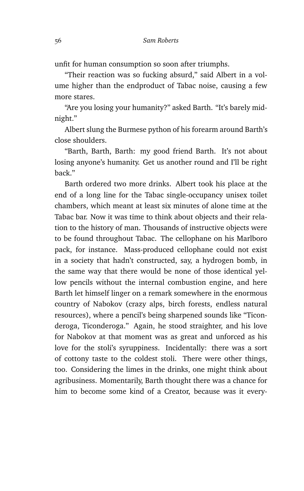unfit for human consumption so soon after triumphs.

"Their reaction was so fucking absurd," said Albert in a volume higher than the endproduct of Tabac noise, causing a few more stares.

"Are you losing your humanity?" asked Barth. "It's barely midnight."

Albert slung the Burmese python of his forearm around Barth's close shoulders.

"Barth, Barth, Barth: my good friend Barth. It's not about losing anyone's humanity. Get us another round and I'll be right back."

Barth ordered two more drinks. Albert took his place at the end of a long line for the Tabac single-occupancy unisex toilet chambers, which meant at least six minutes of alone time at the Tabac bar. Now it was time to think about objects and their relation to the history of man. Thousands of instructive objects were to be found throughout Tabac. The cellophane on his Marlboro pack, for instance. Mass-produced cellophane could not exist in a society that hadn't constructed, say, a hydrogen bomb, in the same way that there would be none of those identical yellow pencils without the internal combustion engine, and here Barth let himself linger on a remark somewhere in the enormous country of Nabokov (crazy alps, birch forests, endless natural resources), where a pencil's being sharpened sounds like "Ticonderoga, Ticonderoga." Again, he stood straighter, and his love for Nabokov at that moment was as great and unforced as his love for the stoli's syruppiness. Incidentally: there was a sort of cottony taste to the coldest stoli. There were other things, too. Considering the limes in the drinks, one might think about agribusiness. Momentarily, Barth thought there was a chance for him to become some kind of a Creator, because was it every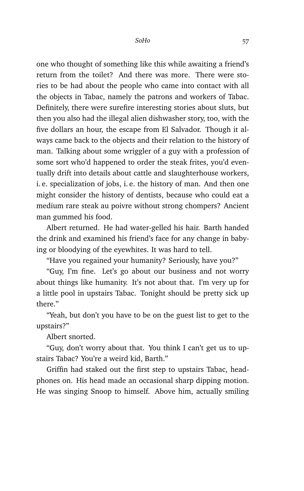one who thought of something like this while awaiting a friend's return from the toilet? And there was more. There were stories to be had about the people who came into contact with all the objects in Tabac, namely the patrons and workers of Tabac. Definitely, there were surefire interesting stories about sluts, but then you also had the illegal alien dishwasher story, too, with the five dollars an hour, the escape from El Salvador. Though it always came back to the objects and their relation to the history of man. Talking about some wriggler of a guy with a profession of some sort who'd happened to order the steak frites, you'd eventually drift into details about cattle and slaughterhouse workers, i. e. specialization of jobs, i. e. the history of man. And then one might consider the history of dentists, because who could eat a medium rare steak au poivre without strong chompers? Ancient man gummed his food.

Albert returned. He had water-gelled his hair. Barth handed the drink and examined his friend's face for any change in babying or bloodying of the eyewhites. It was hard to tell.

"Have you regained your humanity? Seriously, have you?"

"Guy, I'm fine. Let's go about our business and not worry about things like humanity. It's not about that. I'm very up for a little pool in upstairs Tabac. Tonight should be pretty sick up there"

"Yeah, but don't you have to be on the guest list to get to the upstairs?"

Albert snorted.

"Guy, don't worry about that. You think I can't get us to upstairs Tabac? You're a weird kid, Barth."

Griffin had staked out the first step to upstairs Tabac, headphones on. His head made an occasional sharp dipping motion. He was singing Snoop to himself. Above him, actually smiling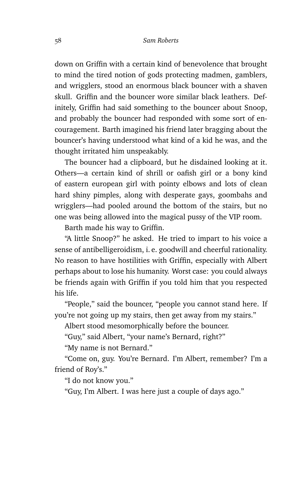down on Griffin with a certain kind of benevolence that brought to mind the tired notion of gods protecting madmen, gamblers, and wrigglers, stood an enormous black bouncer with a shaven skull. Griffin and the bouncer wore similar black leathers. Definitely, Griffin had said something to the bouncer about Snoop, and probably the bouncer had responded with some sort of encouragement. Barth imagined his friend later bragging about the bouncer's having understood what kind of a kid he was, and the thought irritated him unspeakably.

The bouncer had a clipboard, but he disdained looking at it. Others—a certain kind of shrill or oafish girl or a bony kind of eastern european girl with pointy elbows and lots of clean hard shiny pimples, along with desperate gays, goombahs and wrigglers—had pooled around the bottom of the stairs, but no one was being allowed into the magical pussy of the VIP room.

Barth made his way to Griffin.

"A little Snoop?" he asked. He tried to impart to his voice a sense of antibelligeroidism, i. e. goodwill and cheerful rationality. No reason to have hostilities with Griffin, especially with Albert perhaps about to lose his humanity. Worst case: you could always be friends again with Griffin if you told him that you respected his life.

"People," said the bouncer, "people you cannot stand here. If you're not going up my stairs, then get away from my stairs."

Albert stood mesomorphically before the bouncer.

"Guy," said Albert, "your name's Bernard, right?"

"My name is not Bernard."

"Come on, guy. You're Bernard. I'm Albert, remember? I'm a friend of Roy's."

"I do not know you."

"Guy, I'm Albert. I was here just a couple of days ago."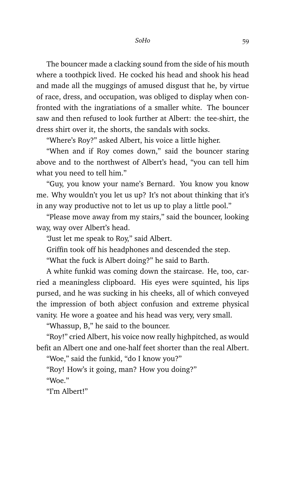The bouncer made a clacking sound from the side of his mouth where a toothpick lived. He cocked his head and shook his head and made all the muggings of amused disgust that he, by virtue of race, dress, and occupation, was obliged to display when confronted with the ingratiations of a smaller white. The bouncer saw and then refused to look further at Albert: the tee-shirt, the dress shirt over it, the shorts, the sandals with socks.

"Where's Roy?" asked Albert, his voice a little higher.

"When and if Roy comes down," said the bouncer staring above and to the northwest of Albert's head, "you can tell him what you need to tell him."

"Guy, you know your name's Bernard. You know you know me. Why wouldn't you let us up? It's not about thinking that it's in any way productive not to let us up to play a little pool."

"Please move away from my stairs," said the bouncer, looking way, way over Albert's head.

"Just let me speak to Roy," said Albert.

Griffin took off his headphones and descended the step.

"What the fuck is Albert doing?" he said to Barth.

A white funkid was coming down the staircase. He, too, carried a meaningless clipboard. His eyes were squinted, his lips pursed, and he was sucking in his cheeks, all of which conveyed the impression of both abject confusion and extreme physical vanity. He wore a goatee and his head was very, very small.

"Whassup, B," he said to the bouncer.

"Roy!" cried Albert, his voice now really highpitched, as would befit an Albert one and one-half feet shorter than the real Albert.

"Woe," said the funkid, "do I know you?"

"Roy! How's it going, man? How you doing?"

"Woe $"$ 

"I'm Albert!"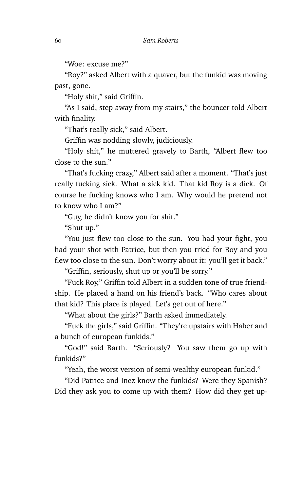"Woe: excuse me?"

"Roy?" asked Albert with a quaver, but the funkid was moving past, gone.

"Holy shit," said Griffin.

"As I said, step away from my stairs," the bouncer told Albert with finality.

"That's really sick," said Albert.

Griffin was nodding slowly, judiciously.

"Holy shit," he muttered gravely to Barth, "Albert flew too close to the sun."

"That's fucking crazy," Albert said after a moment. "That's just really fucking sick. What a sick kid. That kid Roy is a dick. Of course he fucking knows who I am. Why would he pretend not to know who I am?"

"Guy, he didn't know you for shit."

"Shut up."

"You just flew too close to the sun. You had your fight, you had your shot with Patrice, but then you tried for Roy and you flew too close to the sun. Don't worry about it: you'll get it back."

"Griffin, seriously, shut up or you'll be sorry."

"Fuck Roy," Griffin told Albert in a sudden tone of true friendship. He placed a hand on his friend's back. "Who cares about that kid? This place is played. Let's get out of here."

"What about the girls?" Barth asked immediately.

"Fuck the girls," said Griffin. "They're upstairs with Haber and a bunch of european funkids."

"God!" said Barth. "Seriously? You saw them go up with funkids?"

"Yeah, the worst version of semi-wealthy european funkid."

"Did Patrice and Inez know the funkids? Were they Spanish? Did they ask you to come up with them? How did they get up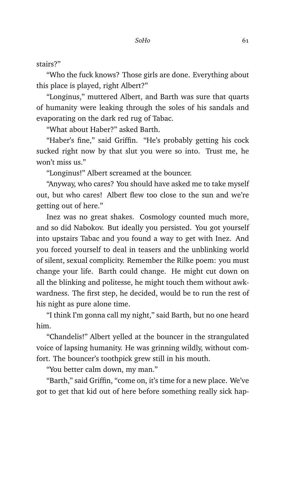stairs?"

"Who the fuck knows? Those girls are done. Everything about this place is played, right Albert?"

"Longinus," muttered Albert, and Barth was sure that quarts of humanity were leaking through the soles of his sandals and evaporating on the dark red rug of Tabac.

"What about Haber?" asked Barth.

"Haber's fine," said Griffin. "He's probably getting his cock sucked right now by that slut you were so into. Trust me, he won't miss us."

"Longinus!" Albert screamed at the bouncer.

"Anyway, who cares? You should have asked me to take myself out, but who cares! Albert flew too close to the sun and we're getting out of here."

Inez was no great shakes. Cosmology counted much more, and so did Nabokov. But ideally you persisted. You got yourself into upstairs Tabac and you found a way to get with Inez. And you forced yourself to deal in teasers and the unblinking world of silent, sexual complicity. Remember the Rilke poem: you must change your life. Barth could change. He might cut down on all the blinking and politesse, he might touch them without awkwardness. The first step, he decided, would be to run the rest of his night as pure alone time.

"I think I'm gonna call my night," said Barth, but no one heard him.

"Chandelis!" Albert yelled at the bouncer in the strangulated voice of lapsing humanity. He was grinning wildly, without comfort. The bouncer's toothpick grew still in his mouth.

"You better calm down, my man."

"Barth," said Griffin, "come on, it's time for a new place. We've got to get that kid out of here before something really sick hap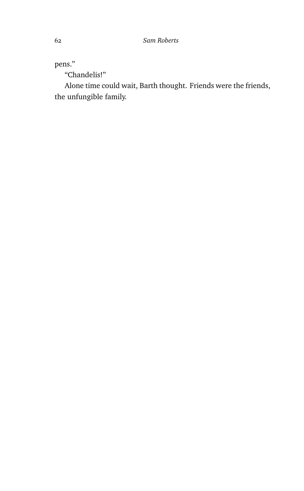pens."

"Chandelis!"

Alone time could wait, Barth thought. Friends were the friends, the unfungible family.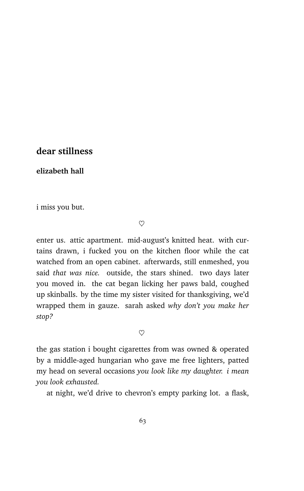## **dear stillness**

**elizabeth hall**

i miss you but.

 $\heartsuit$ 

enter us. attic apartment. mid-august's knitted heat. with curtains drawn, i fucked you on the kitchen floor while the cat watched from an open cabinet. afterwards, still enmeshed, you said *that was nice.* outside, the stars shined. two days later you moved in. the cat began licking her paws bald, coughed up skinballs. by the time my sister visited for thanksgiving, we'd wrapped them in gauze. sarah asked *why don't you make her stop?*

 $\heartsuit$ 

the gas station i bought cigarettes from was owned & operated by a middle-aged hungarian who gave me free lighters, patted my head on several occasions *you look like my daughter. i mean you look exhausted.*

at night, we'd drive to chevron's empty parking lot. a flask,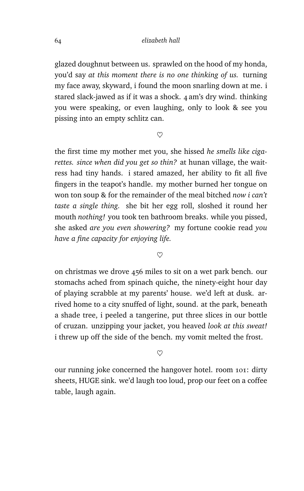glazed doughnut between us. sprawled on the hood of my honda, you'd say *at this moment there is no one thinking of us.* turning my face away, skyward, i found the moon snarling down at me. i stared slack-jawed as if it was a shock. 4 am's dry wind. thinking you were speaking, or even laughing, only to look & see you pissing into an empty schlitz can.

 $\heartsuit$ 

the first time my mother met you, she hissed *he smells like cigarettes. since when did you get so thin?* at hunan village, the waitress had tiny hands. i stared amazed, her ability to fit all five fingers in the teapot's handle. my mother burned her tongue on won ton soup & for the remainder of the meal bitched *now i can't taste a single thing.* she bit her egg roll, sloshed it round her mouth *nothing!* you took ten bathroom breaks. while you pissed, she asked *are you even showering?* my fortune cookie read *you have a fine capacity for enjoying life.*

 $\infty$ 

on christmas we drove 456 miles to sit on a wet park bench. our stomachs ached from spinach quiche, the ninety-eight hour day of playing scrabble at my parents' house. we'd left at dusk. arrived home to a city snuffed of light, sound. at the park, beneath a shade tree, i peeled a tangerine, put three slices in our bottle of cruzan. unzipping your jacket, you heaved *look at this sweat!* i threw up off the side of the bench. my vomit melted the frost.

 $\heartsuit$ 

our running joke concerned the hangover hotel. room 101: dirty sheets, HUGE sink. we'd laugh too loud, prop our feet on a coffee table, laugh again.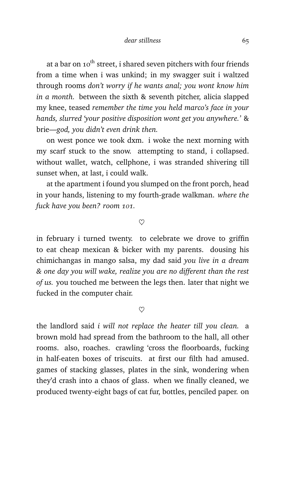at a bar on  $10^{th}$  street, i shared seven pitchers with four friends from a time when i was unkind; in my swagger suit i waltzed through rooms *don't worry if he wants anal; you wont know him in a month.* between the sixth & seventh pitcher, alicia slapped my knee, teased *remember the time you held marco's face in your hands, slurred 'your positive disposition wont get you anywhere.'* & brie—*god, you didn't even drink then.*

on west ponce we took dxm. i woke the next morning with my scarf stuck to the snow. attempting to stand, i collapsed. without wallet, watch, cellphone, i was stranded shivering till sunset when, at last, i could walk.

at the apartment i found you slumped on the front porch, head in your hands, listening to my fourth-grade walkman. *where the fuck have you been? room 101.*

 $\heartsuit$ 

in february i turned twenty. to celebrate we drove to griffin to eat cheap mexican & bicker with my parents. dousing his chimichangas in mango salsa, my dad said *you live in a dream & one day you will wake, realize you are no different than the rest of us.* you touched me between the legs then. later that night we fucked in the computer chair.

 $\infty$ 

the landlord said *i will not replace the heater till you clean.* a brown mold had spread from the bathroom to the hall, all other rooms. also, roaches. crawling 'cross the floorboards, fucking in half-eaten boxes of triscuits. at first our filth had amused. games of stacking glasses, plates in the sink, wondering when they'd crash into a chaos of glass. when we finally cleaned, we produced twenty-eight bags of cat fur, bottles, penciled paper. on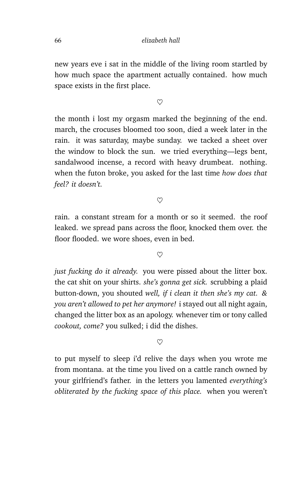new years eve i sat in the middle of the living room startled by how much space the apartment actually contained. how much space exists in the first place.

 $\heartsuit$ 

the month i lost my orgasm marked the beginning of the end. march, the crocuses bloomed too soon, died a week later in the rain. it was saturday, maybe sunday. we tacked a sheet over the window to block the sun. we tried everything—legs bent, sandalwood incense, a record with heavy drumbeat. nothing. when the futon broke, you asked for the last time *how does that feel? it doesn't.*

 $\heartsuit$ 

rain. a constant stream for a month or so it seemed. the roof leaked. we spread pans across the floor, knocked them over. the floor flooded. we wore shoes, even in bed.

 $\heartsuit$ 

*just fucking do it already.* you were pissed about the litter box. the cat shit on your shirts. *she's gonna get sick.* scrubbing a plaid button-down, you shouted *well, if i clean it then she's my cat. & you aren't allowed to pet her anymore!* i stayed out all night again, changed the litter box as an apology. whenever tim or tony called *cookout, come?* you sulked; i did the dishes.

 $\heartsuit$ 

to put myself to sleep i'd relive the days when you wrote me from montana. at the time you lived on a cattle ranch owned by your girlfriend's father. in the letters you lamented *everything's obliterated by the fucking space of this place.* when you weren't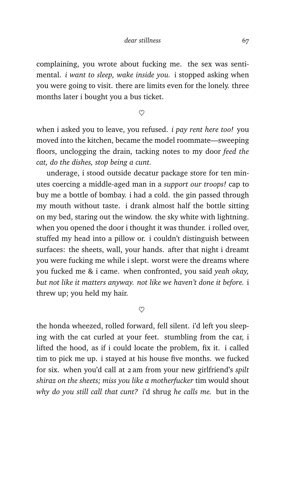complaining, you wrote about fucking me. the sex was sentimental. *i want to sleep, wake inside you.* i stopped asking when you were going to visit. there are limits even for the lonely. three months later i bought you a bus ticket.

 $\infty$ 

when i asked you to leave, you refused. *i pay rent here too!* you moved into the kitchen, became the model roommate—sweeping floors, unclogging the drain, tacking notes to my door *feed the cat, do the dishes, stop being a cunt.*

underage, i stood outside decatur package store for ten minutes coercing a middle-aged man in a *support our troops!* cap to buy me a bottle of bombay. i had a cold. the gin passed through my mouth without taste. i drank almost half the bottle sitting on my bed, staring out the window. the sky white with lightning. when you opened the door i thought it was thunder. i rolled over, stuffed my head into a pillow or. i couldn't distinguish between surfaces: the sheets, wall, your hands. after that night i dreamt you were fucking me while i slept. worst were the dreams where you fucked me & i came. when confronted, you said *yeah okay, but not like it matters anyway. not like we haven't done it before.* i threw up; you held my hair.

 $\infty$ 

the honda wheezed, rolled forward, fell silent. i'd left you sleeping with the cat curled at your feet. stumbling from the car, i lifted the hood, as if i could locate the problem, fix it. i called tim to pick me up. i stayed at his house five months. we fucked for six. when you'd call at 2 am from your new girlfriend's *spilt shiraz on the sheets; miss you like a motherfucker* tim would shout *why do you still call that cunt?* i'd shrug *he calls me.* but in the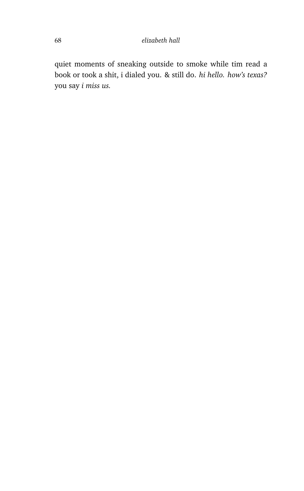quiet moments of sneaking outside to smoke while tim read a book or took a shit, i dialed you. & still do. *hi hello. how's texas?* you say *i miss us.*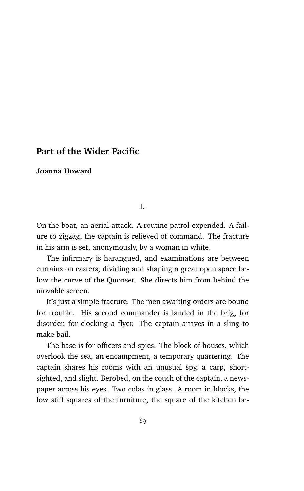# **Part of the Wider Pacific**

#### **Joanna Howard**

I.

On the boat, an aerial attack. A routine patrol expended. A failure to zigzag, the captain is relieved of command. The fracture in his arm is set, anonymously, by a woman in white.

The infirmary is harangued, and examinations are between curtains on casters, dividing and shaping a great open space below the curve of the Quonset. She directs him from behind the movable screen.

It's just a simple fracture. The men awaiting orders are bound for trouble. His second commander is landed in the brig, for disorder, for clocking a flyer. The captain arrives in a sling to make bail.

The base is for officers and spies. The block of houses, which overlook the sea, an encampment, a temporary quartering. The captain shares his rooms with an unusual spy, a carp, shortsighted, and slight. Berobed, on the couch of the captain, a newspaper across his eyes. Two colas in glass. A room in blocks, the low stiff squares of the furniture, the square of the kitchen be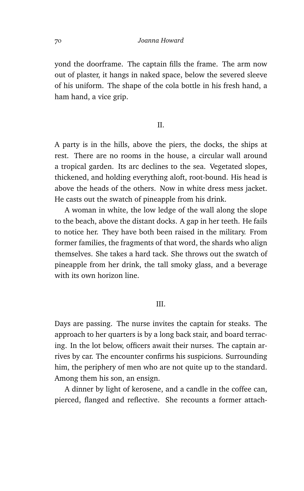yond the doorframe. The captain fills the frame. The arm now out of plaster, it hangs in naked space, below the severed sleeve of his uniform. The shape of the cola bottle in his fresh hand, a ham hand, a vice grip.

### II.

A party is in the hills, above the piers, the docks, the ships at rest. There are no rooms in the house, a circular wall around a tropical garden. Its arc declines to the sea. Vegetated slopes, thickened, and holding everything aloft, root-bound. His head is above the heads of the others. Now in white dress mess jacket. He casts out the swatch of pineapple from his drink.

A woman in white, the low ledge of the wall along the slope to the beach, above the distant docks. A gap in her teeth. He fails to notice her. They have both been raised in the military. From former families, the fragments of that word, the shards who align themselves. She takes a hard tack. She throws out the swatch of pineapple from her drink, the tall smoky glass, and a beverage with its own horizon line.

## III.

Days are passing. The nurse invites the captain for steaks. The approach to her quarters is by a long back stair, and board terracing. In the lot below, officers await their nurses. The captain arrives by car. The encounter confirms his suspicions. Surrounding him, the periphery of men who are not quite up to the standard. Among them his son, an ensign.

A dinner by light of kerosene, and a candle in the coffee can, pierced, flanged and reflective. She recounts a former attach-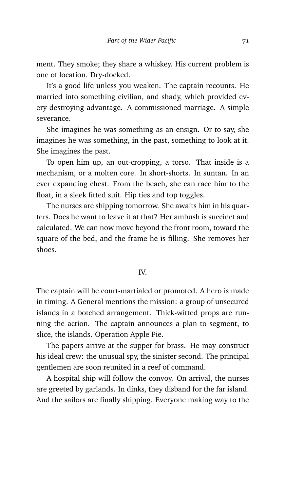ment. They smoke; they share a whiskey. His current problem is one of location. Dry-docked.

It's a good life unless you weaken. The captain recounts. He married into something civilian, and shady, which provided every destroying advantage. A commissioned marriage. A simple severance.

She imagines he was something as an ensign. Or to say, she imagines he was something, in the past, something to look at it. She imagines the past.

To open him up, an out-cropping, a torso. That inside is a mechanism, or a molten core. In short-shorts. In suntan. In an ever expanding chest. From the beach, she can race him to the float, in a sleek fitted suit. Hip ties and top toggles.

The nurses are shipping tomorrow. She awaits him in his quarters. Does he want to leave it at that? Her ambush is succinct and calculated. We can now move beyond the front room, toward the square of the bed, and the frame he is filling. She removes her shoes.

#### IV.

The captain will be court-martialed or promoted. A hero is made in timing. A General mentions the mission: a group of unsecured islands in a botched arrangement. Thick-witted props are running the action. The captain announces a plan to segment, to slice, the islands. Operation Apple Pie.

The papers arrive at the supper for brass. He may construct his ideal crew: the unusual spy, the sinister second. The principal gentlemen are soon reunited in a reef of command.

A hospital ship will follow the convoy. On arrival, the nurses are greeted by garlands. In dinks, they disband for the far island. And the sailors are finally shipping. Everyone making way to the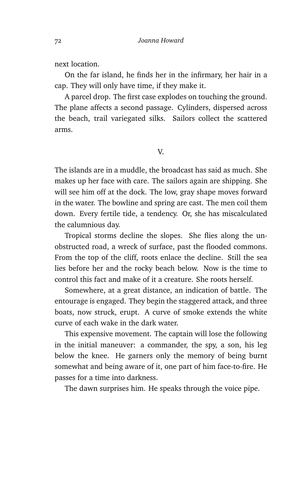next location.

On the far island, he finds her in the infirmary, her hair in a cap. They will only have time, if they make it.

A parcel drop. The first case explodes on touching the ground. The plane affects a second passage. Cylinders, dispersed across the beach, trail variegated silks. Sailors collect the scattered arms.

V.

The islands are in a muddle, the broadcast has said as much. She makes up her face with care. The sailors again are shipping. She will see him off at the dock. The low, gray shape moves forward in the water. The bowline and spring are cast. The men coil them down. Every fertile tide, a tendency. Or, she has miscalculated the calumnious day.

Tropical storms decline the slopes. She flies along the unobstructed road, a wreck of surface, past the flooded commons. From the top of the cliff, roots enlace the decline. Still the sea lies before her and the rocky beach below. Now is the time to control this fact and make of it a creature. She roots herself.

Somewhere, at a great distance, an indication of battle. The entourage is engaged. They begin the staggered attack, and three boats, now struck, erupt. A curve of smoke extends the white curve of each wake in the dark water.

This expensive movement. The captain will lose the following in the initial maneuver: a commander, the spy, a son, his leg below the knee. He garners only the memory of being burnt somewhat and being aware of it, one part of him face-to-fire. He passes for a time into darkness.

The dawn surprises him. He speaks through the voice pipe.